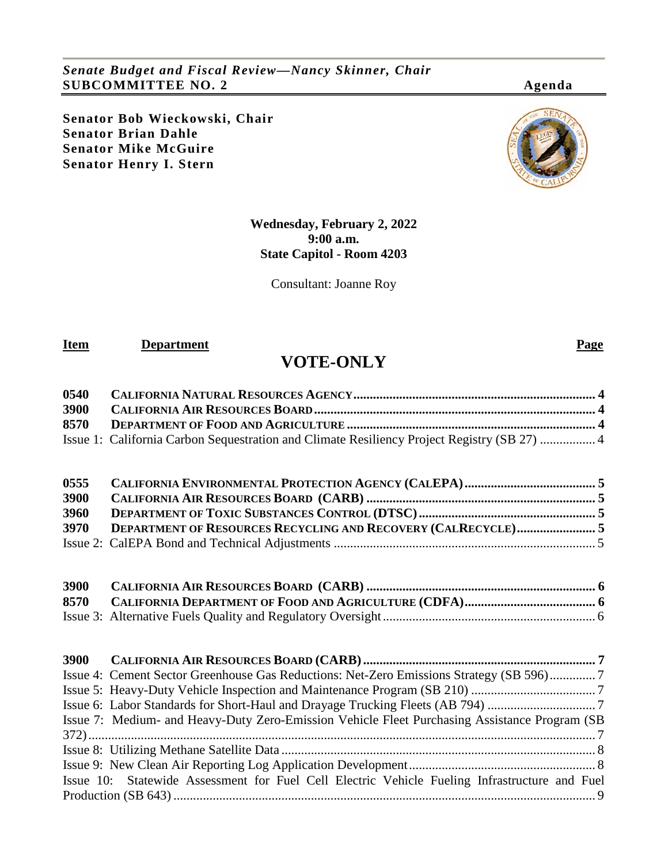*Senate Budget and Fiscal Review—Nancy Skinner, Chair* **SUBCOMMITTEE NO. 2 Agenda**

**Senator Bob Wieckowski, Chair Senator Brian Dahle Senator Mike McGuire Senator Henry I. Stern**



## **Wednesday, February 2, 2022 9:00 a.m. State Capitol - Room 4203**

Consultant: Joanne Roy

**Item Department Page** 

# **VOTE-ONLY**

| 0540 |                                                                                             |  |
|------|---------------------------------------------------------------------------------------------|--|
| 3900 |                                                                                             |  |
| 8570 |                                                                                             |  |
|      | Issue 1: California Carbon Sequestration and Climate Resiliency Project Registry (SB 27)  4 |  |

| 0555 |                                                                      |  |
|------|----------------------------------------------------------------------|--|
| 3900 |                                                                      |  |
| 3960 |                                                                      |  |
| 3970 | <b>DEPARTMENT OF RESOURCES RECYCLING AND RECOVERY (CALRECYCLE) 5</b> |  |
|      |                                                                      |  |

| <b>3900</b> |  |
|-------------|--|
|             |  |
|             |  |

| Issue 4: Cement Sector Greenhouse Gas Reductions: Net-Zero Emissions Strategy (SB 596)7        |  |
|------------------------------------------------------------------------------------------------|--|
|                                                                                                |  |
|                                                                                                |  |
| Issue 7: Medium- and Heavy-Duty Zero-Emission Vehicle Fleet Purchasing Assistance Program (SB) |  |
|                                                                                                |  |
|                                                                                                |  |
|                                                                                                |  |
| Issue 10: Statewide Assessment for Fuel Cell Electric Vehicle Fueling Infrastructure and Fuel  |  |
|                                                                                                |  |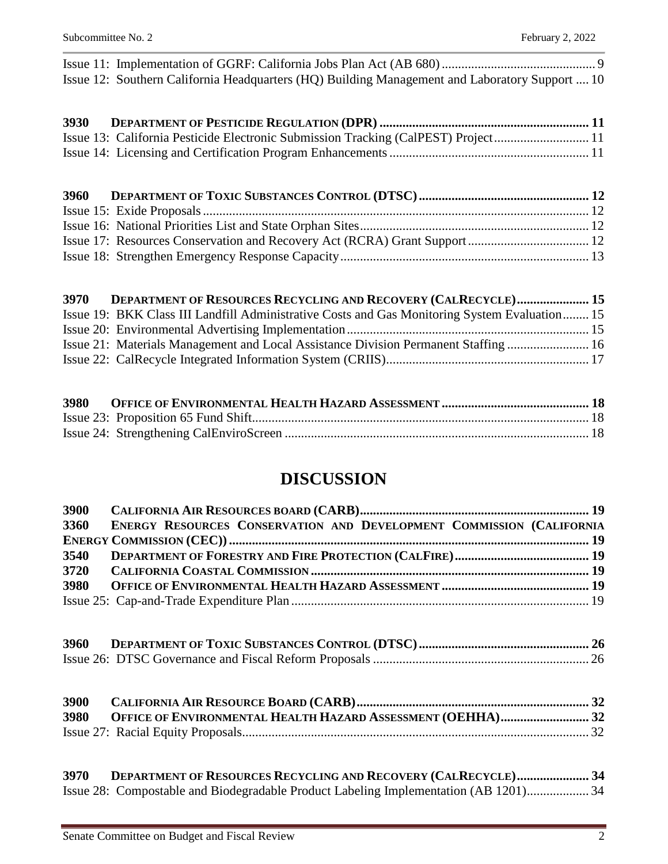[Issue 11: Implementation of GGRF: California Jobs Plan Act \(AB 680\)...............................................](#page-8-1) 9 [Issue 12: Southern California Headquarters \(HQ\) Building Management and Laboratory Support](#page-9-0) .... 10

| 3930 |                                                                                    |  |
|------|------------------------------------------------------------------------------------|--|
|      | Issue 13: California Pesticide Electronic Submission Tracking (CalPEST) Project 11 |  |
|      |                                                                                    |  |

| 3960 |  |
|------|--|
|      |  |
|      |  |
|      |  |
|      |  |

| 3970 | DEPARTMENT OF RESOURCES RECYCLING AND RECOVERY (CALRECYCLE) 15                                |  |
|------|-----------------------------------------------------------------------------------------------|--|
|      | Issue 19: BKK Class III Landfill Administrative Costs and Gas Monitoring System Evaluation 15 |  |
|      |                                                                                               |  |
|      | Issue 21: Materials Management and Local Assistance Division Permanent Staffing  16           |  |
|      |                                                                                               |  |

## **DISCUSSION**

| 3900<br>3360 | ENERGY RESOURCES CONSERVATION AND DEVELOPMENT COMMISSION (CALIFORNIA                                                                                   |  |
|--------------|--------------------------------------------------------------------------------------------------------------------------------------------------------|--|
| 3540         |                                                                                                                                                        |  |
| 3720         |                                                                                                                                                        |  |
| 3980         |                                                                                                                                                        |  |
|              |                                                                                                                                                        |  |
|              |                                                                                                                                                        |  |
| 3900         |                                                                                                                                                        |  |
| 3980         | OFFICE OF ENVIRONMENTAL HEALTH HAZARD ASSESSMENT (OEHHA) 32                                                                                            |  |
|              |                                                                                                                                                        |  |
| 3970         | DEPARTMENT OF RESOURCES RECYCLING AND RECOVERY (CALRECYCLE) 34<br>Issue 28: Compostable and Biodegradable Product Labeling Implementation (AB 1201) 34 |  |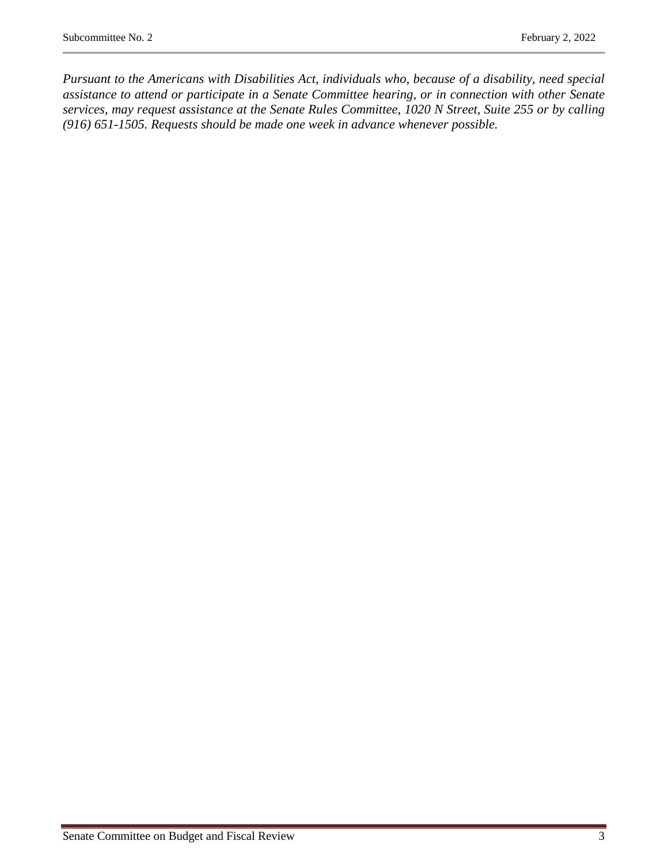*Pursuant to the Americans with Disabilities Act, individuals who, because of a disability, need special assistance to attend or participate in a Senate Committee hearing, or in connection with other Senate services, may request assistance at the Senate Rules Committee, 1020 N Street, Suite 255 or by calling (916) 651-1505. Requests should be made one week in advance whenever possible.*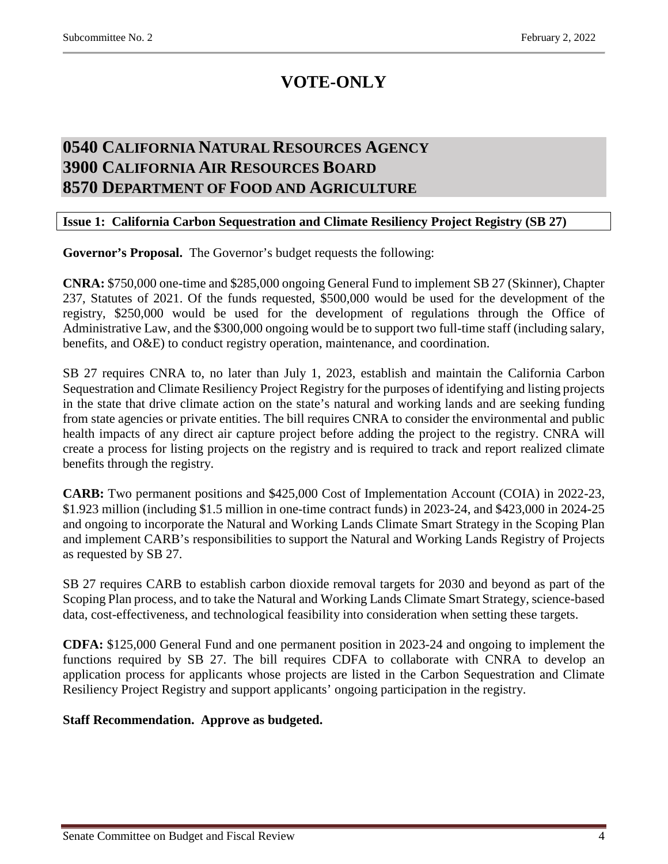# **VOTE-ONLY**

## <span id="page-3-2"></span><span id="page-3-1"></span><span id="page-3-0"></span>**0540 CALIFORNIA NATURAL RESOURCES AGENCY 3900 CALIFORNIA AIR RESOURCES BOARD 8570 DEPARTMENT OF FOOD AND AGRICULTURE**

## <span id="page-3-3"></span>**Issue 1: California Carbon Sequestration and Climate Resiliency Project Registry (SB 27)**

**Governor's Proposal.** The Governor's budget requests the following:

**CNRA:** \$750,000 one-time and \$285,000 ongoing General Fund to implement SB 27 (Skinner), Chapter 237, Statutes of 2021. Of the funds requested, \$500,000 would be used for the development of the registry, \$250,000 would be used for the development of regulations through the Office of Administrative Law, and the \$300,000 ongoing would be to support two full-time staff (including salary, benefits, and O&E) to conduct registry operation, maintenance, and coordination.

SB 27 requires CNRA to, no later than July 1, 2023, establish and maintain the California Carbon Sequestration and Climate Resiliency Project Registry for the purposes of identifying and listing projects in the state that drive climate action on the state's natural and working lands and are seeking funding from state agencies or private entities. The bill requires CNRA to consider the environmental and public health impacts of any direct air capture project before adding the project to the registry. CNRA will create a process for listing projects on the registry and is required to track and report realized climate benefits through the registry.

**CARB:** Two permanent positions and \$425,000 Cost of Implementation Account (COIA) in 2022-23, \$1.923 million (including \$1.5 million in one-time contract funds) in 2023-24, and \$423,000 in 2024-25 and ongoing to incorporate the Natural and Working Lands Climate Smart Strategy in the Scoping Plan and implement CARB's responsibilities to support the Natural and Working Lands Registry of Projects as requested by SB 27.

SB 27 requires CARB to establish carbon dioxide removal targets for 2030 and beyond as part of the Scoping Plan process, and to take the Natural and Working Lands Climate Smart Strategy, science-based data, cost-effectiveness, and technological feasibility into consideration when setting these targets.

**CDFA:** \$125,000 General Fund and one permanent position in 2023-24 and ongoing to implement the functions required by SB 27. The bill requires CDFA to collaborate with CNRA to develop an application process for applicants whose projects are listed in the Carbon Sequestration and Climate Resiliency Project Registry and support applicants' ongoing participation in the registry.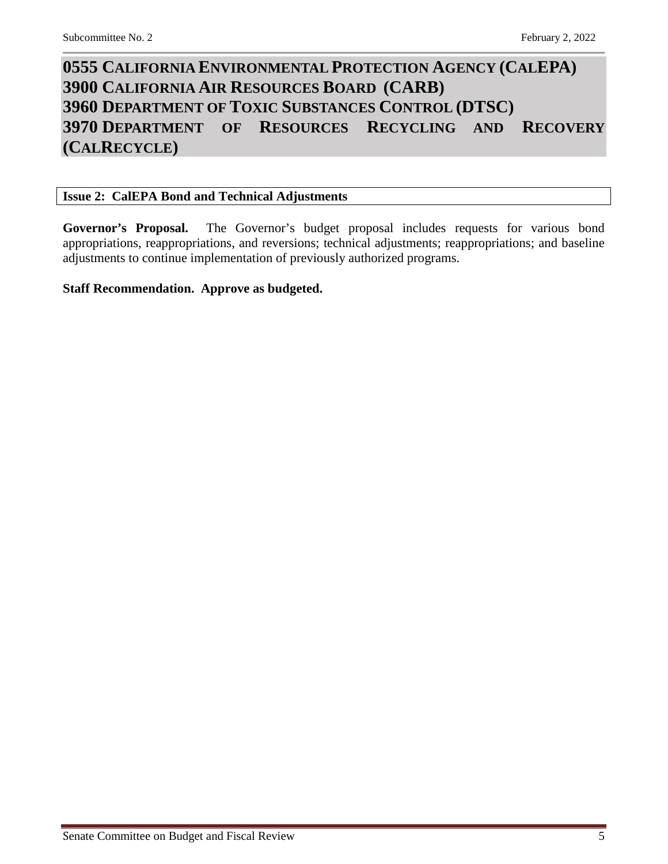# <span id="page-4-3"></span><span id="page-4-2"></span><span id="page-4-1"></span><span id="page-4-0"></span>**0555 CALIFORNIA ENVIRONMENTAL PROTECTION AGENCY (CALEPA) 3900 CALIFORNIA AIR RESOURCES BOARD (CARB) 3960 DEPARTMENT OF TOXIC SUBSTANCES CONTROL (DTSC) 3970 DEPARTMENT OF RESOURCES RECYCLING AND RECOVERY (CALRECYCLE)**

## <span id="page-4-4"></span>**Issue 2: CalEPA Bond and Technical Adjustments**

**Governor's Proposal.** The Governor's budget proposal includes requests for various bond appropriations, reappropriations, and reversions; technical adjustments; reappropriations; and baseline adjustments to continue implementation of previously authorized programs.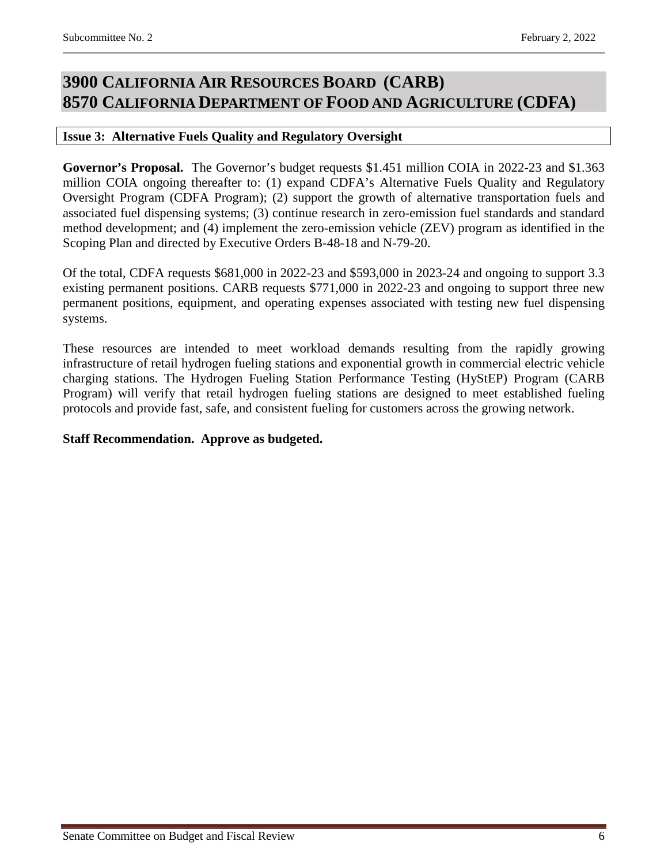## <span id="page-5-1"></span><span id="page-5-0"></span>**3900 CALIFORNIA AIR RESOURCES BOARD (CARB) 8570 CALIFORNIA DEPARTMENT OF FOOD AND AGRICULTURE (CDFA)**

### <span id="page-5-2"></span>**Issue 3: Alternative Fuels Quality and Regulatory Oversight**

**Governor's Proposal.** The Governor's budget requests \$1.451 million COIA in 2022-23 and \$1.363 million COIA ongoing thereafter to: (1) expand CDFA's Alternative Fuels Quality and Regulatory Oversight Program (CDFA Program); (2) support the growth of alternative transportation fuels and associated fuel dispensing systems; (3) continue research in zero-emission fuel standards and standard method development; and (4) implement the zero-emission vehicle (ZEV) program as identified in the Scoping Plan and directed by Executive Orders B-48-18 and N-79-20.

Of the total, CDFA requests \$681,000 in 2022-23 and \$593,000 in 2023-24 and ongoing to support 3.3 existing permanent positions. CARB requests \$771,000 in 2022-23 and ongoing to support three new permanent positions, equipment, and operating expenses associated with testing new fuel dispensing systems.

These resources are intended to meet workload demands resulting from the rapidly growing infrastructure of retail hydrogen fueling stations and exponential growth in commercial electric vehicle charging stations. The Hydrogen Fueling Station Performance Testing (HyStEP) Program (CARB Program) will verify that retail hydrogen fueling stations are designed to meet established fueling protocols and provide fast, safe, and consistent fueling for customers across the growing network.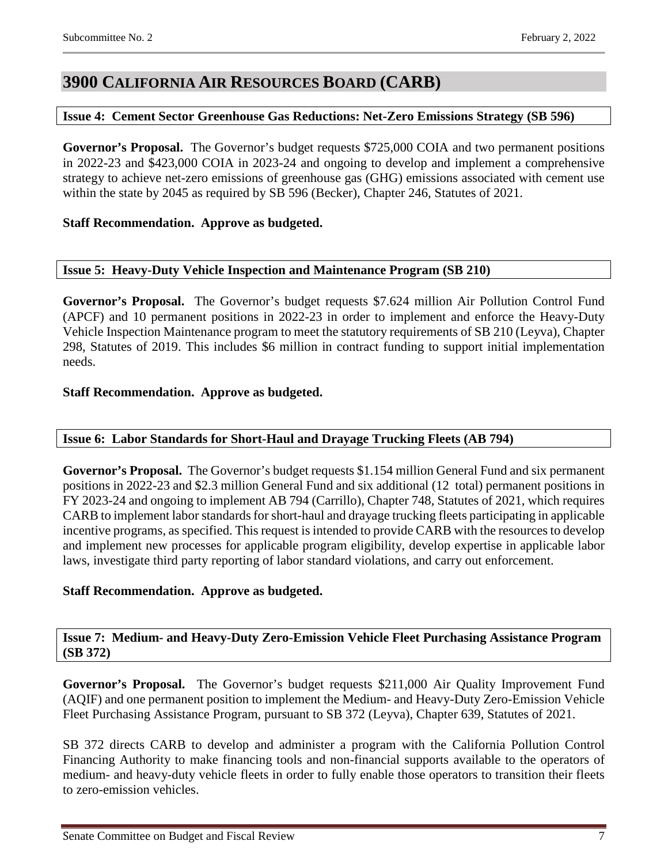## <span id="page-6-0"></span>**3900 CALIFORNIA AIR RESOURCES BOARD (CARB)**

#### <span id="page-6-1"></span>**Issue 4: Cement Sector Greenhouse Gas Reductions: Net-Zero Emissions Strategy (SB 596)**

**Governor's Proposal.** The Governor's budget requests \$725,000 COIA and two permanent positions in 2022-23 and \$423,000 COIA in 2023-24 and ongoing to develop and implement a comprehensive strategy to achieve net-zero emissions of greenhouse gas (GHG) emissions associated with cement use within the state by 2045 as required by SB 596 (Becker), Chapter 246, Statutes of 2021.

### **Staff Recommendation. Approve as budgeted.**

## <span id="page-6-2"></span>**Issue 5: Heavy-Duty Vehicle Inspection and Maintenance Program (SB 210)**

**Governor's Proposal.** The Governor's budget requests \$7.624 million Air Pollution Control Fund (APCF) and 10 permanent positions in 2022-23 in order to implement and enforce the Heavy-Duty Vehicle Inspection Maintenance program to meet the statutory requirements of SB 210 (Leyva), Chapter 298, Statutes of 2019. This includes \$6 million in contract funding to support initial implementation needs.

### **Staff Recommendation. Approve as budgeted.**

#### <span id="page-6-3"></span>**Issue 6: Labor Standards for Short-Haul and Drayage Trucking Fleets (AB 794)**

**Governor's Proposal.** The Governor's budget requests \$1.154 million General Fund and six permanent positions in 2022-23 and \$2.3 million General Fund and six additional (12 total) permanent positions in FY 2023-24 and ongoing to implement AB 794 (Carrillo), Chapter 748, Statutes of 2021, which requires CARB to implement labor standards for short-haul and drayage trucking fleets participating in applicable incentive programs, as specified. This request is intended to provide CARB with the resources to develop and implement new processes for applicable program eligibility, develop expertise in applicable labor laws, investigate third party reporting of labor standard violations, and carry out enforcement.

## **Staff Recommendation. Approve as budgeted.**

#### <span id="page-6-4"></span>**Issue 7: Medium- and Heavy-Duty Zero-Emission Vehicle Fleet Purchasing Assistance Program (SB 372)**

**Governor's Proposal.** The Governor's budget requests \$211,000 Air Quality Improvement Fund (AQIF) and one permanent position to implement the Medium- and Heavy-Duty Zero-Emission Vehicle Fleet Purchasing Assistance Program, pursuant to SB 372 (Leyva), Chapter 639, Statutes of 2021.

SB 372 directs CARB to develop and administer a program with the California Pollution Control Financing Authority to make financing tools and non-financial supports available to the operators of medium- and heavy-duty vehicle fleets in order to fully enable those operators to transition their fleets to zero-emission vehicles.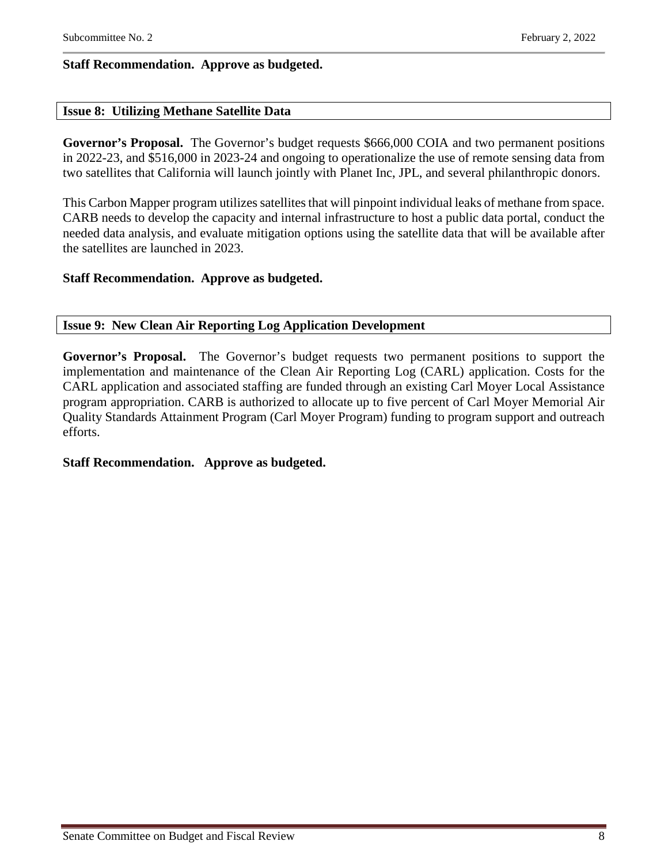## **Staff Recommendation. Approve as budgeted.**

#### <span id="page-7-0"></span>**Issue 8: Utilizing Methane Satellite Data**

**Governor's Proposal.** The Governor's budget requests \$666,000 COIA and two permanent positions in 2022-23, and \$516,000 in 2023-24 and ongoing to operationalize the use of remote sensing data from two satellites that California will launch jointly with Planet Inc, JPL, and several philanthropic donors.

This Carbon Mapper program utilizes satellites that will pinpoint individual leaks of methane from space. CARB needs to develop the capacity and internal infrastructure to host a public data portal, conduct the needed data analysis, and evaluate mitigation options using the satellite data that will be available after the satellites are launched in 2023.

### **Staff Recommendation. Approve as budgeted.**

#### <span id="page-7-1"></span>**Issue 9: New Clean Air Reporting Log Application Development**

**Governor's Proposal.** The Governor's budget requests two permanent positions to support the implementation and maintenance of the Clean Air Reporting Log (CARL) application. Costs for the CARL application and associated staffing are funded through an existing Carl Moyer Local Assistance program appropriation. CARB is authorized to allocate up to five percent of Carl Moyer Memorial Air Quality Standards Attainment Program (Carl Moyer Program) funding to program support and outreach efforts.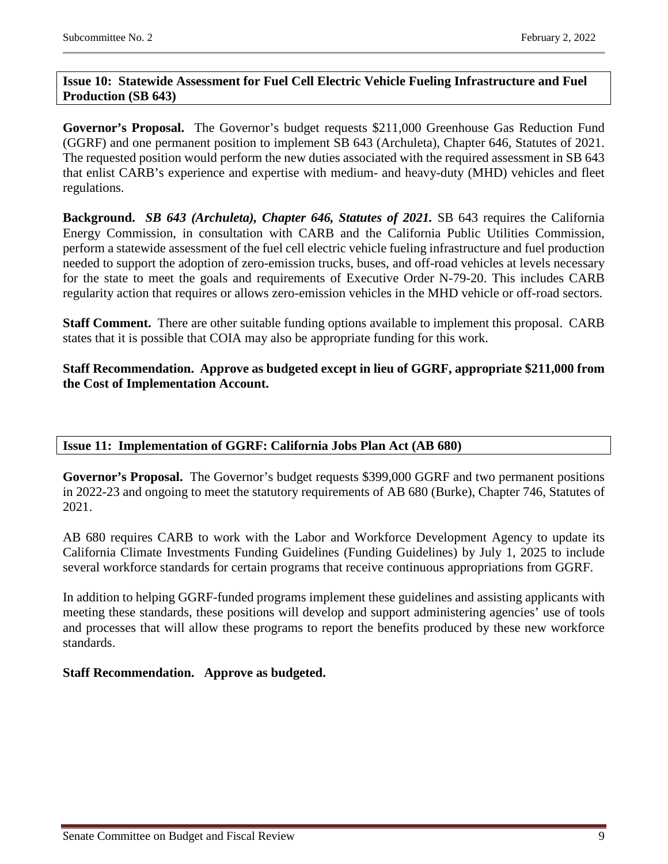## <span id="page-8-0"></span>**Issue 10: Statewide Assessment for Fuel Cell Electric Vehicle Fueling Infrastructure and Fuel Production (SB 643)**

**Governor's Proposal.** The Governor's budget requests \$211,000 Greenhouse Gas Reduction Fund (GGRF) and one permanent position to implement SB 643 (Archuleta), Chapter 646, Statutes of 2021. The requested position would perform the new duties associated with the required assessment in SB 643 that enlist CARB's experience and expertise with medium- and heavy-duty (MHD) vehicles and fleet regulations.

**Background.** *SB 643 (Archuleta), Chapter 646, Statutes of 2021.* SB 643 requires the California Energy Commission, in consultation with CARB and the California Public Utilities Commission, perform a statewide assessment of the fuel cell electric vehicle fueling infrastructure and fuel production needed to support the adoption of zero-emission trucks, buses, and off-road vehicles at levels necessary for the state to meet the goals and requirements of Executive Order N-79-20. This includes CARB regularity action that requires or allows zero-emission vehicles in the MHD vehicle or off-road sectors.

**Staff Comment.** There are other suitable funding options available to implement this proposal. CARB states that it is possible that COIA may also be appropriate funding for this work.

**Staff Recommendation. Approve as budgeted except in lieu of GGRF, appropriate \$211,000 from the Cost of Implementation Account.**

## <span id="page-8-1"></span>**Issue 11: Implementation of GGRF: California Jobs Plan Act (AB 680)**

**Governor's Proposal.** The Governor's budget requests \$399,000 GGRF and two permanent positions in 2022-23 and ongoing to meet the statutory requirements of AB 680 (Burke), Chapter 746, Statutes of 2021.

AB 680 requires CARB to work with the Labor and Workforce Development Agency to update its California Climate Investments Funding Guidelines (Funding Guidelines) by July 1, 2025 to include several workforce standards for certain programs that receive continuous appropriations from GGRF.

In addition to helping GGRF-funded programs implement these guidelines and assisting applicants with meeting these standards, these positions will develop and support administering agencies' use of tools and processes that will allow these programs to report the benefits produced by these new workforce standards.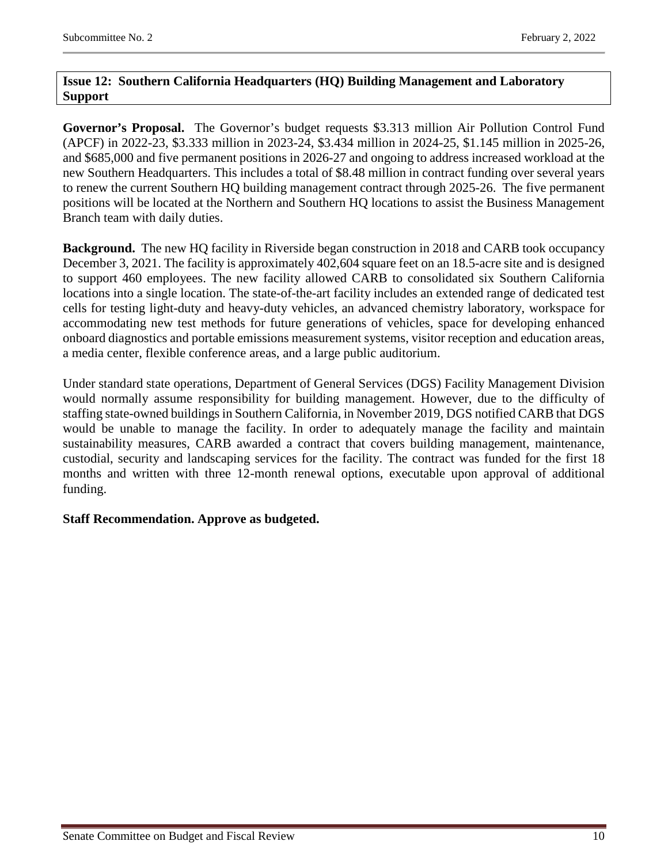## <span id="page-9-0"></span>**Issue 12: Southern California Headquarters (HQ) Building Management and Laboratory Support**

**Governor's Proposal.** The Governor's budget requests \$3.313 million Air Pollution Control Fund (APCF) in 2022-23, \$3.333 million in 2023-24, \$3.434 million in 2024-25, \$1.145 million in 2025-26, and \$685,000 and five permanent positions in 2026-27 and ongoing to address increased workload at the new Southern Headquarters. This includes a total of \$8.48 million in contract funding over several years to renew the current Southern HQ building management contract through 2025-26. The five permanent positions will be located at the Northern and Southern HQ locations to assist the Business Management Branch team with daily duties.

**Background.** The new HQ facility in Riverside began construction in 2018 and CARB took occupancy December 3, 2021. The facility is approximately 402,604 square feet on an 18.5-acre site and is designed to support 460 employees. The new facility allowed CARB to consolidated six Southern California locations into a single location. The state-of-the-art facility includes an extended range of dedicated test cells for testing light-duty and heavy-duty vehicles, an advanced chemistry laboratory, workspace for accommodating new test methods for future generations of vehicles, space for developing enhanced onboard diagnostics and portable emissions measurement systems, visitor reception and education areas, a media center, flexible conference areas, and a large public auditorium.

Under standard state operations, Department of General Services (DGS) Facility Management Division would normally assume responsibility for building management. However, due to the difficulty of staffing state-owned buildings in Southern California, in November 2019, DGS notified CARB that DGS would be unable to manage the facility. In order to adequately manage the facility and maintain sustainability measures, CARB awarded a contract that covers building management, maintenance, custodial, security and landscaping services for the facility. The contract was funded for the first 18 months and written with three 12-month renewal options, executable upon approval of additional funding.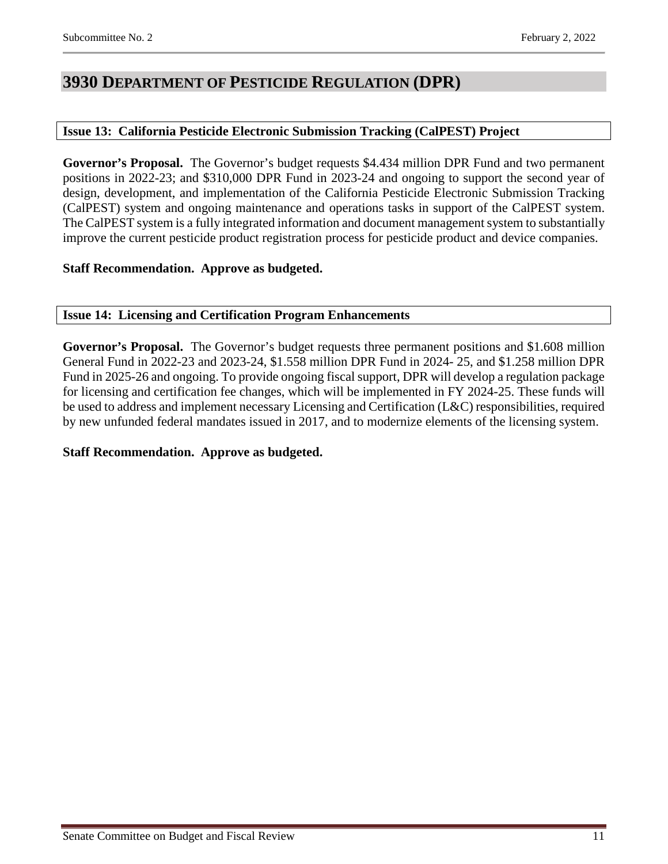## <span id="page-10-0"></span>**3930 DEPARTMENT OF PESTICIDE REGULATION (DPR)**

## <span id="page-10-1"></span>**Issue 13: California Pesticide Electronic Submission Tracking (CalPEST) Project**

**Governor's Proposal.** The Governor's budget requests \$4.434 million DPR Fund and two permanent positions in 2022-23; and \$310,000 DPR Fund in 2023-24 and ongoing to support the second year of design, development, and implementation of the California Pesticide Electronic Submission Tracking (CalPEST) system and ongoing maintenance and operations tasks in support of the CalPEST system. The CalPEST system is a fully integrated information and document management system to substantially improve the current pesticide product registration process for pesticide product and device companies.

### **Staff Recommendation. Approve as budgeted.**

### <span id="page-10-2"></span>**Issue 14: Licensing and Certification Program Enhancements**

**Governor's Proposal.** The Governor's budget requests three permanent positions and \$1.608 million General Fund in 2022-23 and 2023-24, \$1.558 million DPR Fund in 2024- 25, and \$1.258 million DPR Fund in 2025-26 and ongoing. To provide ongoing fiscal support, DPR will develop a regulation package for licensing and certification fee changes, which will be implemented in FY 2024-25. These funds will be used to address and implement necessary Licensing and Certification (L&C) responsibilities, required by new unfunded federal mandates issued in 2017, and to modernize elements of the licensing system.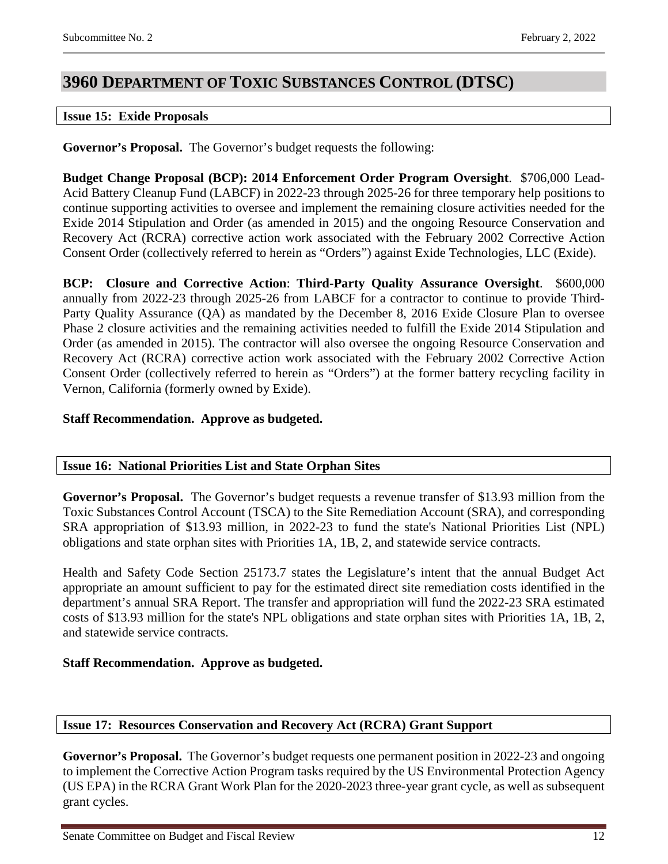# <span id="page-11-0"></span>**3960 DEPARTMENT OF TOXIC SUBSTANCES CONTROL (DTSC)**

#### <span id="page-11-1"></span>**Issue 15: Exide Proposals**

**Governor's Proposal.** The Governor's budget requests the following:

**Budget Change Proposal (BCP): 2014 Enforcement Order Program Oversight**. \$706,000 Lead-Acid Battery Cleanup Fund (LABCF) in 2022-23 through 2025-26 for three temporary help positions to continue supporting activities to oversee and implement the remaining closure activities needed for the Exide 2014 Stipulation and Order (as amended in 2015) and the ongoing Resource Conservation and Recovery Act (RCRA) corrective action work associated with the February 2002 Corrective Action Consent Order (collectively referred to herein as "Orders") against Exide Technologies, LLC (Exide).

**BCP: Closure and Corrective Action**: **Third-Party Quality Assurance Oversight**. \$600,000 annually from 2022-23 through 2025-26 from LABCF for a contractor to continue to provide Third-Party Quality Assurance (QA) as mandated by the December 8, 2016 Exide Closure Plan to oversee Phase 2 closure activities and the remaining activities needed to fulfill the Exide 2014 Stipulation and Order (as amended in 2015). The contractor will also oversee the ongoing Resource Conservation and Recovery Act (RCRA) corrective action work associated with the February 2002 Corrective Action Consent Order (collectively referred to herein as "Orders") at the former battery recycling facility in Vernon, California (formerly owned by Exide).

### **Staff Recommendation. Approve as budgeted.**

#### <span id="page-11-2"></span>**Issue 16: National Priorities List and State Orphan Sites**

**Governor's Proposal.** The Governor's budget requests a revenue transfer of \$13.93 million from the Toxic Substances Control Account (TSCA) to the Site Remediation Account (SRA), and corresponding SRA appropriation of \$13.93 million, in 2022-23 to fund the state's National Priorities List (NPL) obligations and state orphan sites with Priorities 1A, 1B, 2, and statewide service contracts.

Health and Safety Code Section 25173.7 states the Legislature's intent that the annual Budget Act appropriate an amount sufficient to pay for the estimated direct site remediation costs identified in the department's annual SRA Report. The transfer and appropriation will fund the 2022-23 SRA estimated costs of \$13.93 million for the state's NPL obligations and state orphan sites with Priorities 1A, 1B, 2, and statewide service contracts.

## **Staff Recommendation. Approve as budgeted.**

#### <span id="page-11-3"></span>**Issue 17: Resources Conservation and Recovery Act (RCRA) Grant Support**

**Governor's Proposal.** The Governor's budget requests one permanent position in 2022-23 and ongoing to implement the Corrective Action Program tasks required by the US Environmental Protection Agency (US EPA) in the RCRA Grant Work Plan for the 2020-2023 three-year grant cycle, as well as subsequent grant cycles.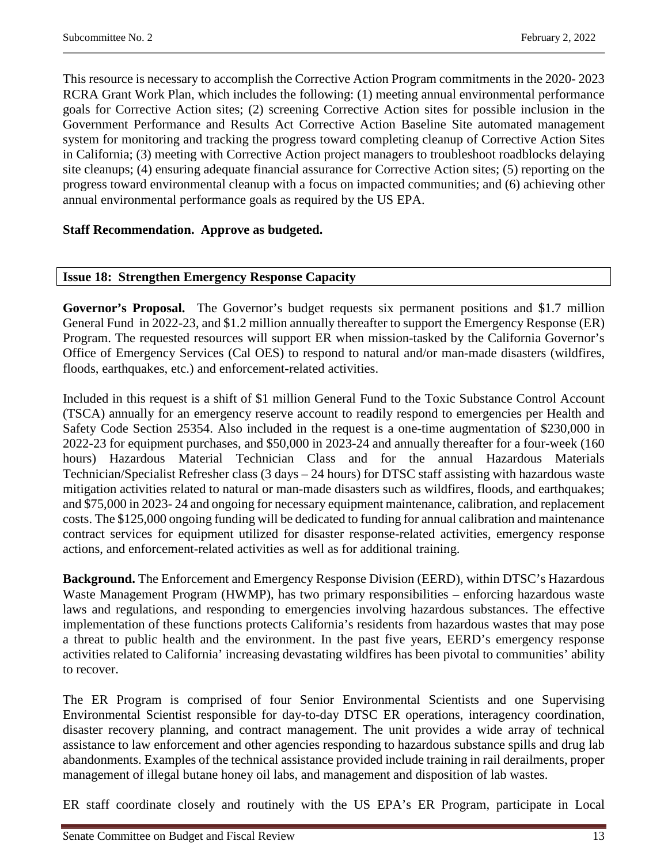This resource is necessary to accomplish the Corrective Action Program commitments in the 2020- 2023 RCRA Grant Work Plan, which includes the following: (1) meeting annual environmental performance goals for Corrective Action sites; (2) screening Corrective Action sites for possible inclusion in the Government Performance and Results Act Corrective Action Baseline Site automated management system for monitoring and tracking the progress toward completing cleanup of Corrective Action Sites in California; (3) meeting with Corrective Action project managers to troubleshoot roadblocks delaying site cleanups; (4) ensuring adequate financial assurance for Corrective Action sites; (5) reporting on the progress toward environmental cleanup with a focus on impacted communities; and (6) achieving other annual environmental performance goals as required by the US EPA.

### **Staff Recommendation. Approve as budgeted.**

#### <span id="page-12-0"></span>**Issue 18: Strengthen Emergency Response Capacity**

**Governor's Proposal.** The Governor's budget requests six permanent positions and \$1.7 million General Fund in 2022-23, and \$1.2 million annually thereafter to support the Emergency Response (ER) Program. The requested resources will support ER when mission-tasked by the California Governor's Office of Emergency Services (Cal OES) to respond to natural and/or man-made disasters (wildfires, floods, earthquakes, etc.) and enforcement-related activities.

Included in this request is a shift of \$1 million General Fund to the Toxic Substance Control Account (TSCA) annually for an emergency reserve account to readily respond to emergencies per Health and Safety Code Section 25354. Also included in the request is a one-time augmentation of \$230,000 in 2022-23 for equipment purchases, and \$50,000 in 2023-24 and annually thereafter for a four-week (160 hours) Hazardous Material Technician Class and for the annual Hazardous Materials Technician/Specialist Refresher class (3 days – 24 hours) for DTSC staff assisting with hazardous waste mitigation activities related to natural or man-made disasters such as wildfires, floods, and earthquakes; and \$75,000 in 2023- 24 and ongoing for necessary equipment maintenance, calibration, and replacement costs. The \$125,000 ongoing funding will be dedicated to funding for annual calibration and maintenance contract services for equipment utilized for disaster response-related activities, emergency response actions, and enforcement-related activities as well as for additional training.

**Background.** The Enforcement and Emergency Response Division (EERD), within DTSC's Hazardous Waste Management Program (HWMP), has two primary responsibilities – enforcing hazardous waste laws and regulations, and responding to emergencies involving hazardous substances. The effective implementation of these functions protects California's residents from hazardous wastes that may pose a threat to public health and the environment. In the past five years, EERD's emergency response activities related to California' increasing devastating wildfires has been pivotal to communities' ability to recover.

The ER Program is comprised of four Senior Environmental Scientists and one Supervising Environmental Scientist responsible for day-to-day DTSC ER operations, interagency coordination, disaster recovery planning, and contract management. The unit provides a wide array of technical assistance to law enforcement and other agencies responding to hazardous substance spills and drug lab abandonments. Examples of the technical assistance provided include training in rail derailments, proper management of illegal butane honey oil labs, and management and disposition of lab wastes.

ER staff coordinate closely and routinely with the US EPA's ER Program, participate in Local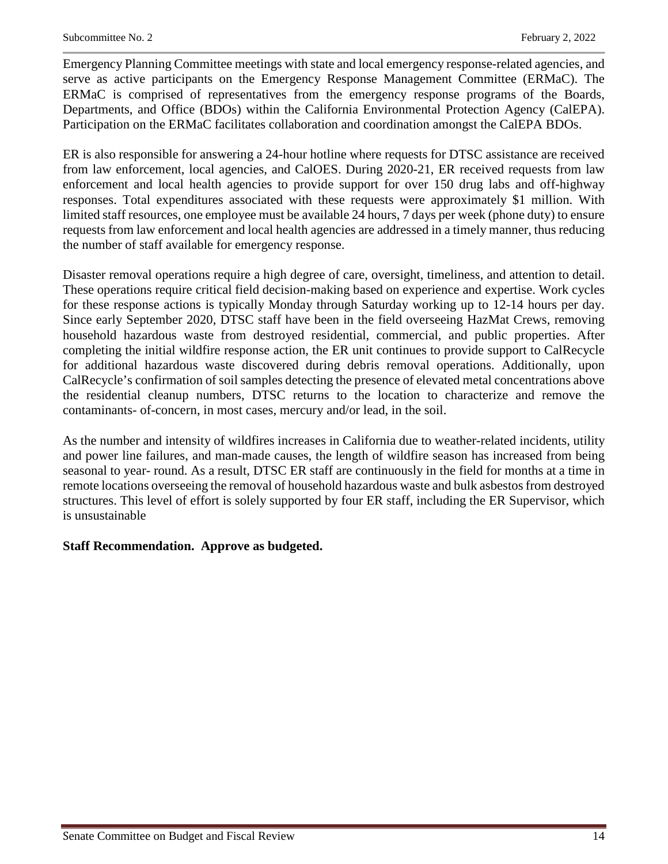Emergency Planning Committee meetings with state and local emergency response-related agencies, and serve as active participants on the Emergency Response Management Committee (ERMaC). The ERMaC is comprised of representatives from the emergency response programs of the Boards, Departments, and Office (BDOs) within the California Environmental Protection Agency (CalEPA). Participation on the ERMaC facilitates collaboration and coordination amongst the CalEPA BDOs.

ER is also responsible for answering a 24-hour hotline where requests for DTSC assistance are received from law enforcement, local agencies, and CalOES. During 2020-21, ER received requests from law enforcement and local health agencies to provide support for over 150 drug labs and off-highway responses. Total expenditures associated with these requests were approximately \$1 million. With limited staff resources, one employee must be available 24 hours, 7 days per week (phone duty) to ensure requests from law enforcement and local health agencies are addressed in a timely manner, thus reducing the number of staff available for emergency response.

Disaster removal operations require a high degree of care, oversight, timeliness, and attention to detail. These operations require critical field decision-making based on experience and expertise. Work cycles for these response actions is typically Monday through Saturday working up to 12-14 hours per day. Since early September 2020, DTSC staff have been in the field overseeing HazMat Crews, removing household hazardous waste from destroyed residential, commercial, and public properties. After completing the initial wildfire response action, the ER unit continues to provide support to CalRecycle for additional hazardous waste discovered during debris removal operations. Additionally, upon CalRecycle's confirmation of soil samples detecting the presence of elevated metal concentrations above the residential cleanup numbers, DTSC returns to the location to characterize and remove the contaminants- of-concern, in most cases, mercury and/or lead, in the soil.

As the number and intensity of wildfires increases in California due to weather-related incidents, utility and power line failures, and man-made causes, the length of wildfire season has increased from being seasonal to year- round. As a result, DTSC ER staff are continuously in the field for months at a time in remote locations overseeing the removal of household hazardous waste and bulk asbestos from destroyed structures. This level of effort is solely supported by four ER staff, including the ER Supervisor, which is unsustainable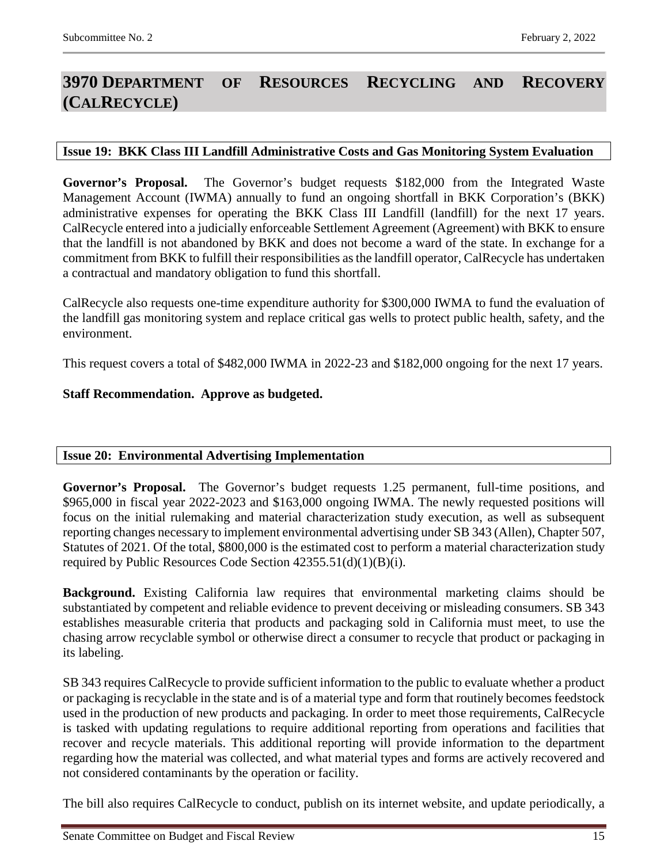## <span id="page-14-0"></span>**3970 DEPARTMENT OF RESOURCES RECYCLING AND RECOVERY (CALRECYCLE)**

#### <span id="page-14-1"></span>**Issue 19: BKK Class III Landfill Administrative Costs and Gas Monitoring System Evaluation**

**Governor's Proposal.** The Governor's budget requests \$182,000 from the Integrated Waste Management Account (IWMA) annually to fund an ongoing shortfall in BKK Corporation's (BKK) administrative expenses for operating the BKK Class III Landfill (landfill) for the next 17 years. CalRecycle entered into a judicially enforceable Settlement Agreement (Agreement) with BKK to ensure that the landfill is not abandoned by BKK and does not become a ward of the state. In exchange for a commitment from BKK to fulfill their responsibilities as the landfill operator, CalRecycle has undertaken a contractual and mandatory obligation to fund this shortfall.

CalRecycle also requests one-time expenditure authority for \$300,000 IWMA to fund the evaluation of the landfill gas monitoring system and replace critical gas wells to protect public health, safety, and the environment.

This request covers a total of \$482,000 IWMA in 2022-23 and \$182,000 ongoing for the next 17 years.

#### **Staff Recommendation. Approve as budgeted.**

#### <span id="page-14-2"></span>**Issue 20: Environmental Advertising Implementation**

**Governor's Proposal.** The Governor's budget requests 1.25 permanent, full-time positions, and \$965,000 in fiscal year 2022-2023 and \$163,000 ongoing IWMA. The newly requested positions will focus on the initial rulemaking and material characterization study execution, as well as subsequent reporting changes necessary to implement environmental advertising under SB 343 (Allen), Chapter 507, Statutes of 2021. Of the total, \$800,000 is the estimated cost to perform a material characterization study required by Public Resources Code Section 42355.51(d)(1)(B)(i).

**Background.** Existing California law requires that environmental marketing claims should be substantiated by competent and reliable evidence to prevent deceiving or misleading consumers. SB 343 establishes measurable criteria that products and packaging sold in California must meet, to use the chasing arrow recyclable symbol or otherwise direct a consumer to recycle that product or packaging in its labeling.

SB 343 requires CalRecycle to provide sufficient information to the public to evaluate whether a product or packaging is recyclable in the state and is of a material type and form that routinely becomes feedstock used in the production of new products and packaging. In order to meet those requirements, CalRecycle is tasked with updating regulations to require additional reporting from operations and facilities that recover and recycle materials. This additional reporting will provide information to the department regarding how the material was collected, and what material types and forms are actively recovered and not considered contaminants by the operation or facility.

The bill also requires CalRecycle to conduct, publish on its internet website, and update periodically, a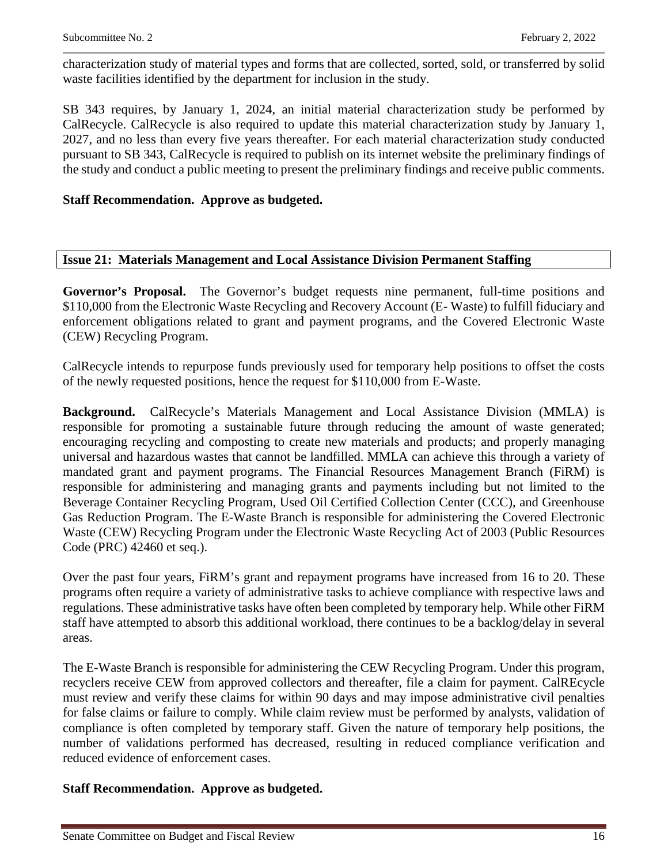characterization study of material types and forms that are collected, sorted, sold, or transferred by solid waste facilities identified by the department for inclusion in the study.

SB 343 requires, by January 1, 2024, an initial material characterization study be performed by CalRecycle. CalRecycle is also required to update this material characterization study by January 1, 2027, and no less than every five years thereafter. For each material characterization study conducted pursuant to SB 343, CalRecycle is required to publish on its internet website the preliminary findings of the study and conduct a public meeting to present the preliminary findings and receive public comments.

## **Staff Recommendation. Approve as budgeted.**

### <span id="page-15-0"></span>**Issue 21: Materials Management and Local Assistance Division Permanent Staffing**

**Governor's Proposal.** The Governor's budget requests nine permanent, full-time positions and \$110,000 from the Electronic Waste Recycling and Recovery Account (E- Waste) to fulfill fiduciary and enforcement obligations related to grant and payment programs, and the Covered Electronic Waste (CEW) Recycling Program.

CalRecycle intends to repurpose funds previously used for temporary help positions to offset the costs of the newly requested positions, hence the request for \$110,000 from E-Waste.

**Background.** CalRecycle's Materials Management and Local Assistance Division (MMLA) is responsible for promoting a sustainable future through reducing the amount of waste generated; encouraging recycling and composting to create new materials and products; and properly managing universal and hazardous wastes that cannot be landfilled. MMLA can achieve this through a variety of mandated grant and payment programs. The Financial Resources Management Branch (FiRM) is responsible for administering and managing grants and payments including but not limited to the Beverage Container Recycling Program, Used Oil Certified Collection Center (CCC), and Greenhouse Gas Reduction Program. The E-Waste Branch is responsible for administering the Covered Electronic Waste (CEW) Recycling Program under the Electronic Waste Recycling Act of 2003 (Public Resources Code (PRC) 42460 et seq.).

Over the past four years, FiRM's grant and repayment programs have increased from 16 to 20. These programs often require a variety of administrative tasks to achieve compliance with respective laws and regulations. These administrative tasks have often been completed by temporary help. While other FiRM staff have attempted to absorb this additional workload, there continues to be a backlog/delay in several areas.

The E-Waste Branch is responsible for administering the CEW Recycling Program. Under this program, recyclers receive CEW from approved collectors and thereafter, file a claim for payment. CalREcycle must review and verify these claims for within 90 days and may impose administrative civil penalties for false claims or failure to comply. While claim review must be performed by analysts, validation of compliance is often completed by temporary staff. Given the nature of temporary help positions, the number of validations performed has decreased, resulting in reduced compliance verification and reduced evidence of enforcement cases.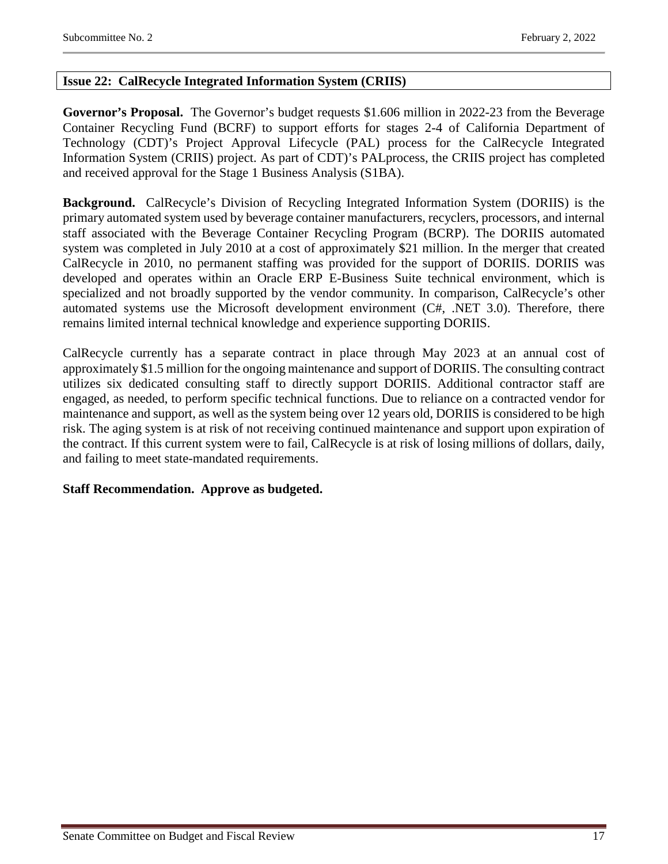## <span id="page-16-0"></span>**Issue 22: CalRecycle Integrated Information System (CRIIS)**

**Governor's Proposal.** The Governor's budget requests \$1.606 million in 2022-23 from the Beverage Container Recycling Fund (BCRF) to support efforts for stages 2-4 of California Department of Technology (CDT)'s Project Approval Lifecycle (PAL) process for the CalRecycle Integrated Information System (CRIIS) project. As part of CDT)'s PALprocess, the CRIIS project has completed and received approval for the Stage 1 Business Analysis (S1BA).

**Background.** CalRecycle's Division of Recycling Integrated Information System (DORIIS) is the primary automated system used by beverage container manufacturers, recyclers, processors, and internal staff associated with the Beverage Container Recycling Program (BCRP). The DORIIS automated system was completed in July 2010 at a cost of approximately \$21 million. In the merger that created CalRecycle in 2010, no permanent staffing was provided for the support of DORIIS. DORIIS was developed and operates within an Oracle ERP E-Business Suite technical environment, which is specialized and not broadly supported by the vendor community. In comparison, CalRecycle's other automated systems use the Microsoft development environment (C#, .NET 3.0). Therefore, there remains limited internal technical knowledge and experience supporting DORIIS.

CalRecycle currently has a separate contract in place through May 2023 at an annual cost of approximately \$1.5 million for the ongoing maintenance and support of DORIIS. The consulting contract utilizes six dedicated consulting staff to directly support DORIIS. Additional contractor staff are engaged, as needed, to perform specific technical functions. Due to reliance on a contracted vendor for maintenance and support, as well as the system being over 12 years old, DORIIS is considered to be high risk. The aging system is at risk of not receiving continued maintenance and support upon expiration of the contract. If this current system were to fail, CalRecycle is at risk of losing millions of dollars, daily, and failing to meet state-mandated requirements.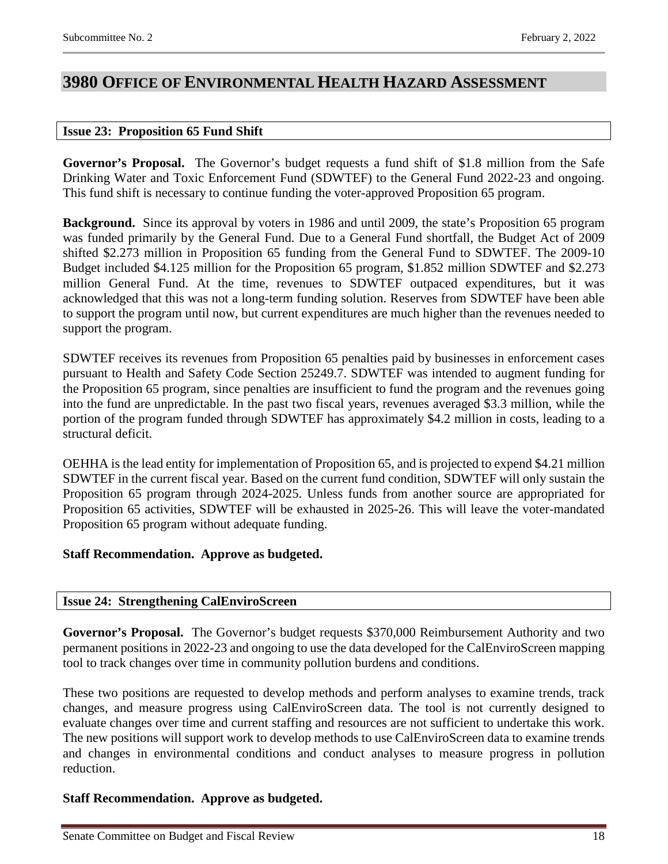## <span id="page-17-0"></span>**3980 OFFICE OF ENVIRONMENTAL HEALTH HAZARD ASSESSMENT**

### <span id="page-17-1"></span>**Issue 23: Proposition 65 Fund Shift**

**Governor's Proposal.** The Governor's budget requests a fund shift of \$1.8 million from the Safe Drinking Water and Toxic Enforcement Fund (SDWTEF) to the General Fund 2022-23 and ongoing. This fund shift is necessary to continue funding the voter-approved Proposition 65 program.

**Background.** Since its approval by voters in 1986 and until 2009, the state's Proposition 65 program was funded primarily by the General Fund. Due to a General Fund shortfall, the Budget Act of 2009 shifted \$2.273 million in Proposition 65 funding from the General Fund to SDWTEF. The 2009-10 Budget included \$4.125 million for the Proposition 65 program, \$1.852 million SDWTEF and \$2.273 million General Fund. At the time, revenues to SDWTEF outpaced expenditures, but it was acknowledged that this was not a long-term funding solution. Reserves from SDWTEF have been able to support the program until now, but current expenditures are much higher than the revenues needed to support the program.

SDWTEF receives its revenues from Proposition 65 penalties paid by businesses in enforcement cases pursuant to Health and Safety Code Section 25249.7. SDWTEF was intended to augment funding for the Proposition 65 program, since penalties are insufficient to fund the program and the revenues going into the fund are unpredictable. In the past two fiscal years, revenues averaged \$3.3 million, while the portion of the program funded through SDWTEF has approximately \$4.2 million in costs, leading to a structural deficit.

OEHHA is the lead entity for implementation of Proposition 65, and is projected to expend \$4.21 million SDWTEF in the current fiscal year. Based on the current fund condition, SDWTEF will only sustain the Proposition 65 program through 2024-2025. Unless funds from another source are appropriated for Proposition 65 activities, SDWTEF will be exhausted in 2025-26. This will leave the voter-mandated Proposition 65 program without adequate funding.

## **Staff Recommendation. Approve as budgeted.**

## <span id="page-17-2"></span>**Issue 24: Strengthening CalEnviroScreen**

**Governor's Proposal.** The Governor's budget requests \$370,000 Reimbursement Authority and two permanent positions in 2022-23 and ongoing to use the data developed for the CalEnviroScreen mapping tool to track changes over time in community pollution burdens and conditions.

These two positions are requested to develop methods and perform analyses to examine trends, track changes, and measure progress using CalEnviroScreen data. The tool is not currently designed to evaluate changes over time and current staffing and resources are not sufficient to undertake this work. The new positions will support work to develop methods to use CalEnviroScreen data to examine trends and changes in environmental conditions and conduct analyses to measure progress in pollution reduction.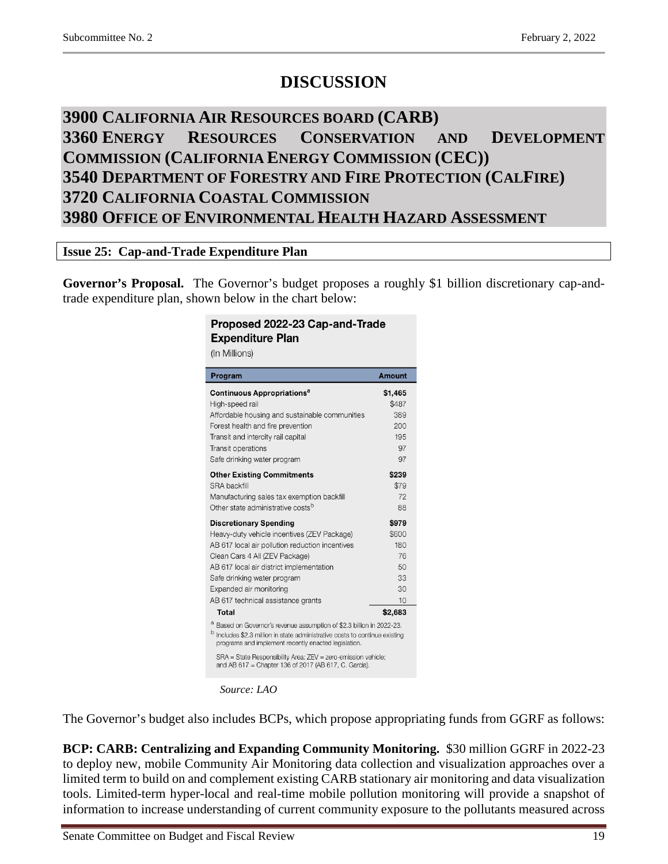# **DISCUSSION**

# <span id="page-18-2"></span><span id="page-18-1"></span><span id="page-18-0"></span>**3900 CALIFORNIA AIR RESOURCES BOARD (CARB) 3360 ENERGY RESOURCES CONSERVATION AND DEVELOPMENT COMMISSION (CALIFORNIA ENERGY COMMISSION (CEC)) 3540 DEPARTMENT OF FORESTRY AND FIRE PROTECTION (CALFIRE) 3720 CALIFORNIA COASTAL COMMISSION 3980 OFFICE OF ENVIRONMENTAL HEALTH HAZARD ASSESSMENT**

## <span id="page-18-5"></span><span id="page-18-4"></span><span id="page-18-3"></span>**Issue 25: Cap-and-Trade Expenditure Plan**

**Governor's Proposal.** The Governor's budget proposes a roughly \$1 billion discretionary cap-andtrade expenditure plan, shown below in the chart below:

#### Proposed 2022-23 Cap-and-Trade **Expenditure Plan** (In Millions)

| Program                                                                                                                                                                                                            | Amount  |
|--------------------------------------------------------------------------------------------------------------------------------------------------------------------------------------------------------------------|---------|
| Continuous Appropriations <sup>a</sup>                                                                                                                                                                             | \$1,465 |
| High-speed rail                                                                                                                                                                                                    | \$487   |
| Affordable housing and sustainable communities                                                                                                                                                                     | 389     |
| Forest health and fire prevention                                                                                                                                                                                  | 200     |
| Transit and intercity rail capital                                                                                                                                                                                 | 195     |
| Transit operations                                                                                                                                                                                                 | 97      |
| Safe drinking water program                                                                                                                                                                                        | 97      |
| <b>Other Existing Commitments</b>                                                                                                                                                                                  | \$239   |
| <b>SRA backfill</b>                                                                                                                                                                                                | \$79    |
| Manufacturing sales tax exemption backfill                                                                                                                                                                         | 72      |
| Other state administrative costs <sup>b</sup>                                                                                                                                                                      | 88      |
| <b>Discretionary Spending</b>                                                                                                                                                                                      | \$979   |
| Heavy-duty vehicle incentives (ZEV Package)                                                                                                                                                                        | \$600   |
| AB 617 local air pollution reduction incentives                                                                                                                                                                    | 180     |
| Clean Cars 4 All (ZEV Package)                                                                                                                                                                                     | 76      |
| AB 617 local air district implementation                                                                                                                                                                           | 50      |
| Safe drinking water program                                                                                                                                                                                        | 33      |
| Expanded air monitoring                                                                                                                                                                                            | 30      |
| AB 617 technical assistance grants                                                                                                                                                                                 | 10      |
| Total                                                                                                                                                                                                              | \$2,683 |
| а<br>Based on Governor's revenue assumption of \$2.3 billion in 2022-23.<br>b<br>Includes \$2.3 million in state administrative costs to continue existing<br>programs and implement recently enacted legislation. |         |
| SRA = State Responsibility Area; ZEV = zero-emission vehicle;<br>and AB 617 = Chapter 136 of 2017 (AB 617, C. Garcia).                                                                                             |         |

*Source: LAO*

The Governor's budget also includes BCPs, which propose appropriating funds from GGRF as follows:

**BCP: CARB: Centralizing and Expanding Community Monitoring.** \$30 million GGRF in 2022-23 to deploy new, mobile Community Air Monitoring data collection and visualization approaches over a limited term to build on and complement existing CARB stationary air monitoring and data visualization tools. Limited-term hyper-local and real-time mobile pollution monitoring will provide a snapshot of information to increase understanding of current community exposure to the pollutants measured across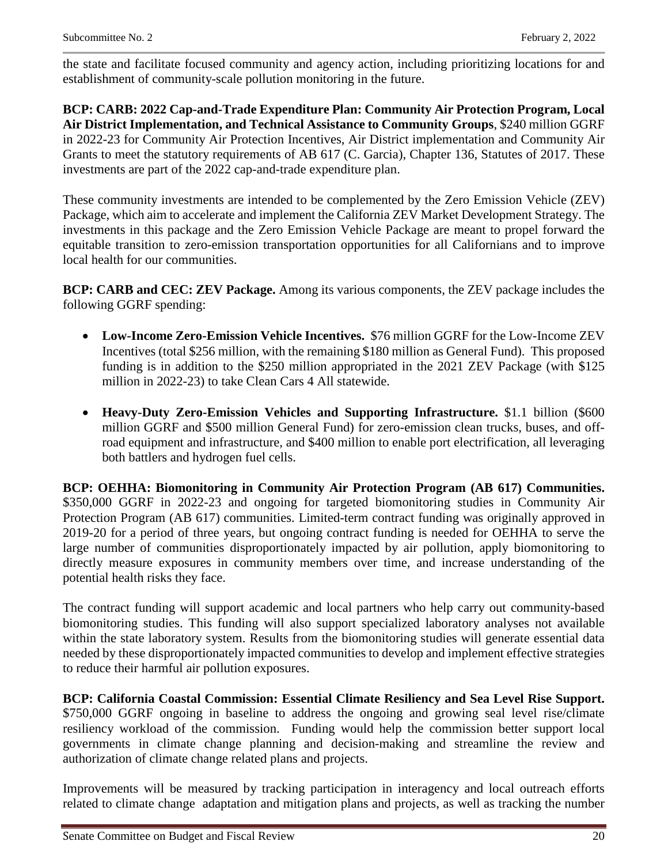the state and facilitate focused community and agency action, including prioritizing locations for and establishment of community-scale pollution monitoring in the future.

**BCP: CARB: 2022 Cap-and-Trade Expenditure Plan: Community Air Protection Program, Local Air District Implementation, and Technical Assistance to Community Groups**, \$240 million GGRF in 2022-23 for Community Air Protection Incentives, Air District implementation and Community Air Grants to meet the statutory requirements of AB 617 (C. Garcia), Chapter 136, Statutes of 2017. These investments are part of the 2022 cap-and-trade expenditure plan.

These community investments are intended to be complemented by the Zero Emission Vehicle (ZEV) Package, which aim to accelerate and implement the California ZEV Market Development Strategy. The investments in this package and the Zero Emission Vehicle Package are meant to propel forward the equitable transition to zero-emission transportation opportunities for all Californians and to improve local health for our communities.

**BCP: CARB and CEC: ZEV Package.** Among its various components, the ZEV package includes the following GGRF spending:

- **Low-Income Zero-Emission Vehicle Incentives.** \$76 million GGRF for the Low-Income ZEV Incentives (total \$256 million, with the remaining \$180 million as General Fund). This proposed funding is in addition to the \$250 million appropriated in the 2021 ZEV Package (with \$125 million in 2022-23) to take Clean Cars 4 All statewide.
- **Heavy-Duty Zero-Emission Vehicles and Supporting Infrastructure.** \$1.1 billion (\$600 million GGRF and \$500 million General Fund) for zero-emission clean trucks, buses, and offroad equipment and infrastructure, and \$400 million to enable port electrification, all leveraging both battlers and hydrogen fuel cells.

**BCP: OEHHA: Biomonitoring in Community Air Protection Program (AB 617) Communities.**  \$350,000 GGRF in 2022-23 and ongoing for targeted biomonitoring studies in Community Air Protection Program (AB 617) communities. Limited-term contract funding was originally approved in 2019-20 for a period of three years, but ongoing contract funding is needed for OEHHA to serve the large number of communities disproportionately impacted by air pollution, apply biomonitoring to directly measure exposures in community members over time, and increase understanding of the potential health risks they face.

The contract funding will support academic and local partners who help carry out community-based biomonitoring studies. This funding will also support specialized laboratory analyses not available within the state laboratory system. Results from the biomonitoring studies will generate essential data needed by these disproportionately impacted communities to develop and implement effective strategies to reduce their harmful air pollution exposures.

**BCP: California Coastal Commission: Essential Climate Resiliency and Sea Level Rise Support.** \$750,000 GGRF ongoing in baseline to address the ongoing and growing seal level rise/climate resiliency workload of the commission. Funding would help the commission better support local governments in climate change planning and decision-making and streamline the review and authorization of climate change related plans and projects.

Improvements will be measured by tracking participation in interagency and local outreach efforts related to climate change adaptation and mitigation plans and projects, as well as tracking the number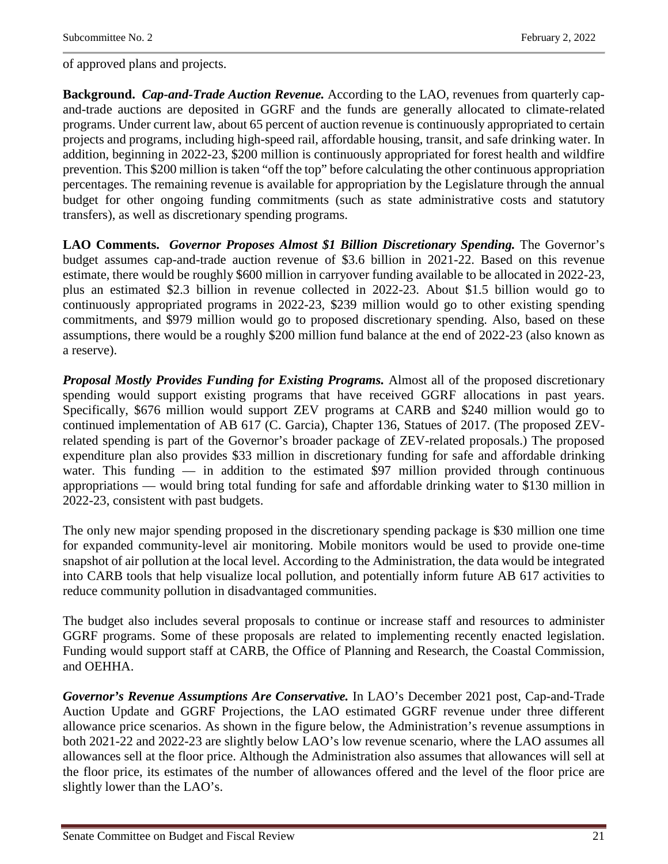of approved plans and projects.

**Background.** *Cap-and-Trade Auction Revenue.* According to the LAO, revenues from quarterly capand-trade auctions are deposited in GGRF and the funds are generally allocated to climate-related programs. Under current law, about 65 percent of auction revenue is continuously appropriated to certain projects and programs, including high-speed rail, affordable housing, transit, and safe drinking water. In addition, beginning in 2022-23, \$200 million is continuously appropriated for forest health and wildfire prevention. This \$200 million is taken "off the top" before calculating the other continuous appropriation percentages. The remaining revenue is available for appropriation by the Legislature through the annual budget for other ongoing funding commitments (such as state administrative costs and statutory transfers), as well as discretionary spending programs.

**LAO Comments.** *Governor Proposes Almost \$1 Billion Discretionary Spending.* The Governor's budget assumes cap-and-trade auction revenue of \$3.6 billion in 2021-22. Based on this revenue estimate, there would be roughly \$600 million in carryover funding available to be allocated in 2022-23, plus an estimated \$2.3 billion in revenue collected in 2022-23. About \$1.5 billion would go to continuously appropriated programs in 2022-23, \$239 million would go to other existing spending commitments, and \$979 million would go to proposed discretionary spending. Also, based on these assumptions, there would be a roughly \$200 million fund balance at the end of 2022-23 (also known as a reserve).

*Proposal Mostly Provides Funding for Existing Programs.* Almost all of the proposed discretionary spending would support existing programs that have received GGRF allocations in past years. Specifically, \$676 million would support ZEV programs at CARB and \$240 million would go to continued implementation of AB 617 (C. Garcia), Chapter 136, Statues of 2017. (The proposed ZEVrelated spending is part of the Governor's broader package of ZEV-related proposals.) The proposed expenditure plan also provides \$33 million in discretionary funding for safe and affordable drinking water. This funding  $-$  in addition to the estimated \$97 million provided through continuous appropriations — would bring total funding for safe and affordable drinking water to \$130 million in 2022-23, consistent with past budgets.

The only new major spending proposed in the discretionary spending package is \$30 million one time for expanded community-level air monitoring. Mobile monitors would be used to provide one-time snapshot of air pollution at the local level. According to the Administration, the data would be integrated into CARB tools that help visualize local pollution, and potentially inform future AB 617 activities to reduce community pollution in disadvantaged communities.

The budget also includes several proposals to continue or increase staff and resources to administer GGRF programs. Some of these proposals are related to implementing recently enacted legislation. Funding would support staff at CARB, the Office of Planning and Research, the Coastal Commission, and OEHHA.

*Governor's Revenue Assumptions Are Conservative.* In LAO's December 2021 post, Cap-and-Trade Auction Update and GGRF Projections, the LAO estimated GGRF revenue under three different allowance price scenarios. As shown in the figure below, the Administration's revenue assumptions in both 2021-22 and 2022-23 are slightly below LAO's low revenue scenario, where the LAO assumes all allowances sell at the floor price. Although the Administration also assumes that allowances will sell at the floor price, its estimates of the number of allowances offered and the level of the floor price are slightly lower than the LAO's.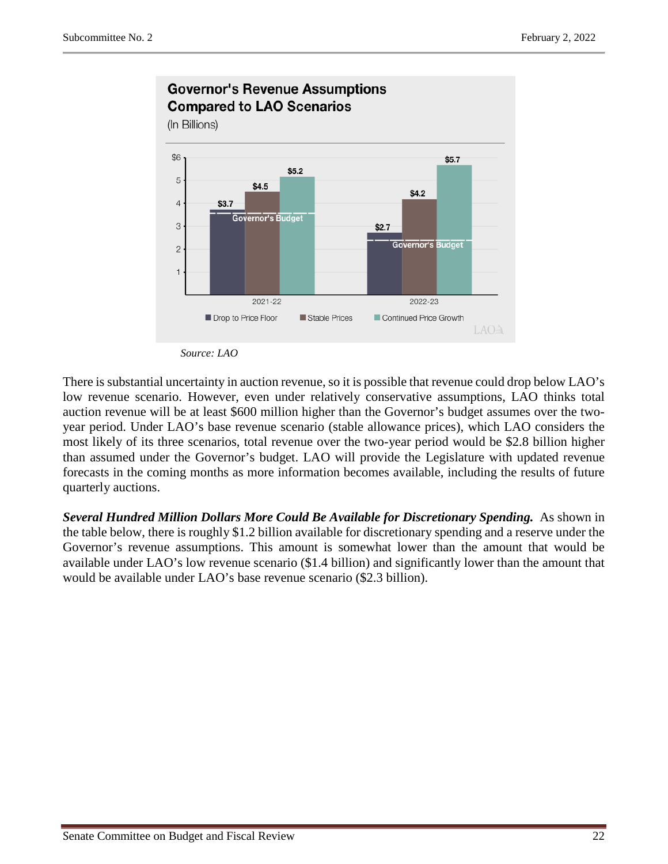

*Source: LAO*

There is substantial uncertainty in auction revenue, so it is possible that revenue could drop below LAO's low revenue scenario. However, even under relatively conservative assumptions, LAO thinks total auction revenue will be at least \$600 million higher than the Governor's budget assumes over the twoyear period. Under LAO's base revenue scenario (stable allowance prices), which LAO considers the most likely of its three scenarios, total revenue over the two-year period would be \$2.8 billion higher than assumed under the Governor's budget. LAO will provide the Legislature with updated revenue forecasts in the coming months as more information becomes available, including the results of future quarterly auctions.

**Several Hundred Million Dollars More Could Be Available for Discretionary Spending.** As shown in the table below, there is roughly \$1.2 billion available for discretionary spending and a reserve under the Governor's revenue assumptions. This amount is somewhat lower than the amount that would be available under LAO's low revenue scenario (\$1.4 billion) and significantly lower than the amount that would be available under LAO's base revenue scenario (\$2.3 billion).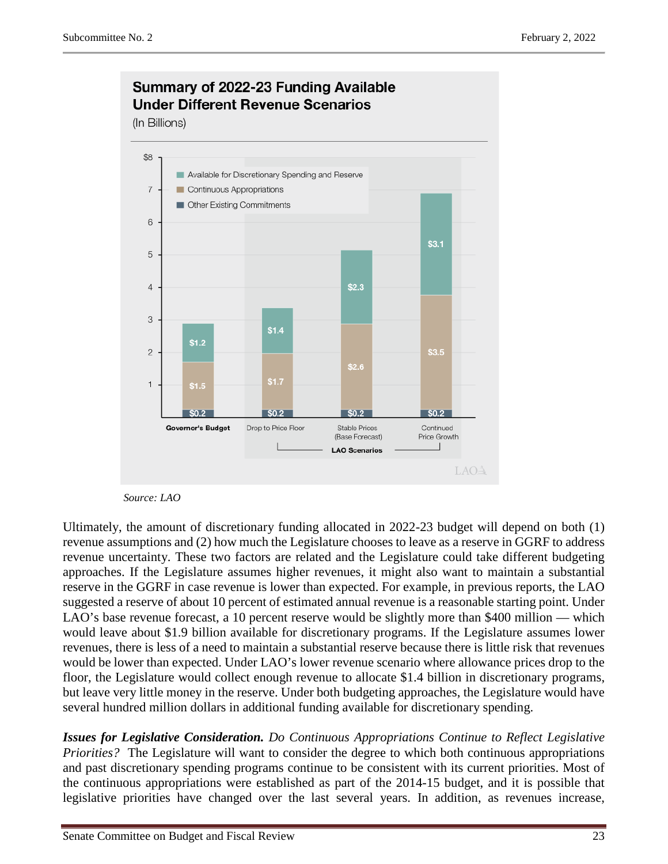

#### *Source: LAO*

Ultimately, the amount of discretionary funding allocated in 2022-23 budget will depend on both (1) revenue assumptions and (2) how much the Legislature chooses to leave as a reserve in GGRF to address revenue uncertainty. These two factors are related and the Legislature could take different budgeting approaches. If the Legislature assumes higher revenues, it might also want to maintain a substantial reserve in the GGRF in case revenue is lower than expected. For example, in previous reports, the LAO suggested a reserve of about 10 percent of estimated annual revenue is a reasonable starting point. Under LAO's base revenue forecast, a 10 percent reserve would be slightly more than \$400 million — which would leave about \$1.9 billion available for discretionary programs. If the Legislature assumes lower revenues, there is less of a need to maintain a substantial reserve because there is little risk that revenues would be lower than expected. Under LAO's lower revenue scenario where allowance prices drop to the floor, the Legislature would collect enough revenue to allocate \$1.4 billion in discretionary programs, but leave very little money in the reserve. Under both budgeting approaches, the Legislature would have several hundred million dollars in additional funding available for discretionary spending.

*Issues for Legislative Consideration. Do Continuous Appropriations Continue to Reflect Legislative Priorities?* The Legislature will want to consider the degree to which both continuous appropriations and past discretionary spending programs continue to be consistent with its current priorities. Most of the continuous appropriations were established as part of the 2014-15 budget, and it is possible that legislative priorities have changed over the last several years. In addition, as revenues increase,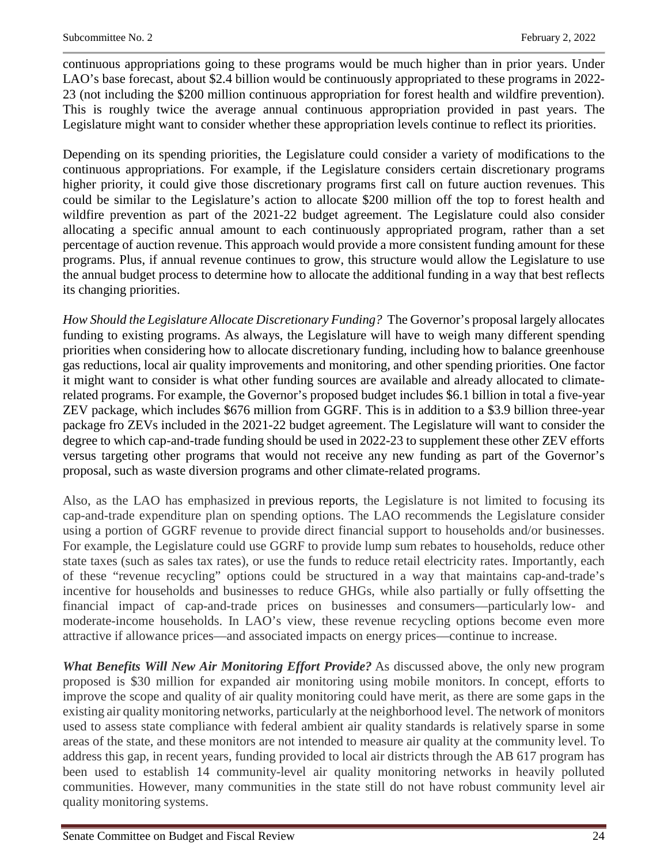continuous appropriations going to these programs would be much higher than in prior years. Under LAO's base forecast, about \$2.4 billion would be continuously appropriated to these programs in 2022- 23 (not including the \$200 million continuous appropriation for forest health and wildfire prevention). This is roughly twice the average annual continuous appropriation provided in past years. The Legislature might want to consider whether these appropriation levels continue to reflect its priorities.

Depending on its spending priorities, the Legislature could consider a variety of modifications to the continuous appropriations. For example, if the Legislature considers certain discretionary programs higher priority, it could give those discretionary programs first call on future auction revenues. This could be similar to the Legislature's action to allocate \$200 million off the top to forest health and wildfire prevention as part of the 2021-22 budget agreement. The Legislature could also consider allocating a specific annual amount to each continuously appropriated program, rather than a set percentage of auction revenue. This approach would provide a more consistent funding amount for these programs. Plus, if annual revenue continues to grow, this structure would allow the Legislature to use the annual budget process to determine how to allocate the additional funding in a way that best reflects its changing priorities.

*How Should the Legislature Allocate Discretionary Funding?* The Governor's proposal largely allocates funding to existing programs. As always, the Legislature will have to weigh many different spending priorities when considering how to allocate discretionary funding, including how to balance greenhouse gas reductions, local air quality improvements and monitoring, and other spending priorities. One factor it might want to consider is what other funding sources are available and already allocated to climaterelated programs. For example, the Governor's proposed budget includes \$6.1 billion in total a five-year ZEV package, which includes \$676 million from GGRF. This is in addition to a \$3.9 billion three-year package fro ZEVs included in the 2021-22 budget agreement. The Legislature will want to consider the degree to which cap-and-trade funding should be used in 2022-23 to supplement these other ZEV efforts versus targeting other programs that would not receive any new funding as part of the Governor's proposal, such as waste diversion programs and other climate-related programs.

Also, as the LAO has emphasized in previous reports, the Legislature is not limited to focusing its cap-and-trade expenditure plan on spending options. The LAO recommends the Legislature consider using a portion of GGRF revenue to provide direct financial support to households and/or businesses. For example, the Legislature could use GGRF to provide lump sum rebates to households, reduce other state taxes (such as sales tax rates), or use the funds to reduce retail electricity rates. Importantly, each of these "revenue recycling" options could be structured in a way that maintains cap-and-trade's incentive for households and businesses to reduce GHGs, while also partially or fully offsetting the financial impact of cap-and-trade prices on businesses and consumers—particularly low- and moderate-income households. In LAO's view, these revenue recycling options become even more attractive if allowance prices—and associated impacts on energy prices—continue to increase.

*What Benefits Will New Air Monitoring Effort Provide?* As discussed above, the only new program proposed is \$30 million for expanded air monitoring using mobile monitors. In concept, efforts to improve the scope and quality of air quality monitoring could have merit, as there are some gaps in the existing air quality monitoring networks, particularly at the neighborhood level. The network of monitors used to assess state compliance with federal ambient air quality standards is relatively sparse in some areas of the state, and these monitors are not intended to measure air quality at the community level. To address this gap, in recent years, funding provided to local air districts through the AB 617 program has been used to establish 14 community-level air quality monitoring networks in heavily polluted communities. However, many communities in the state still do not have robust community level air quality monitoring systems.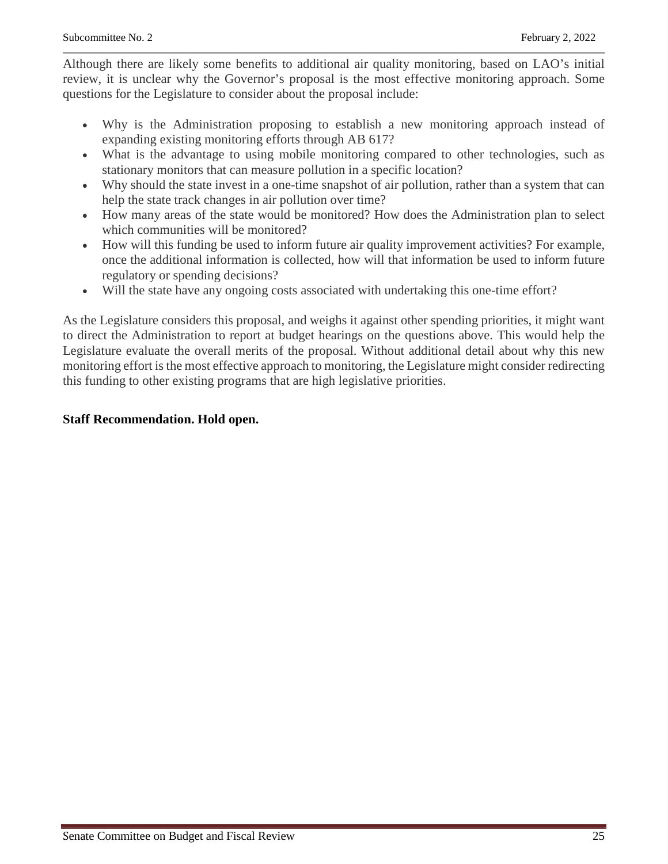Although there are likely some benefits to additional air quality monitoring, based on LAO's initial review, it is unclear why the Governor's proposal is the most effective monitoring approach. Some questions for the Legislature to consider about the proposal include:

- Why is the Administration proposing to establish a new monitoring approach instead of expanding existing monitoring efforts through AB 617?
- What is the advantage to using mobile monitoring compared to other technologies, such as stationary monitors that can measure pollution in a specific location?
- Why should the state invest in a one-time snapshot of air pollution, rather than a system that can help the state track changes in air pollution over time?
- How many areas of the state would be monitored? How does the Administration plan to select which communities will be monitored?
- How will this funding be used to inform future air quality improvement activities? For example, once the additional information is collected, how will that information be used to inform future regulatory or spending decisions?
- Will the state have any ongoing costs associated with undertaking this one-time effort?

As the Legislature considers this proposal, and weighs it against other spending priorities, it might want to direct the Administration to report at budget hearings on the questions above. This would help the Legislature evaluate the overall merits of the proposal. Without additional detail about why this new monitoring effort is the most effective approach to monitoring, the Legislature might consider redirecting this funding to other existing programs that are high legislative priorities.

### **Staff Recommendation. Hold open.**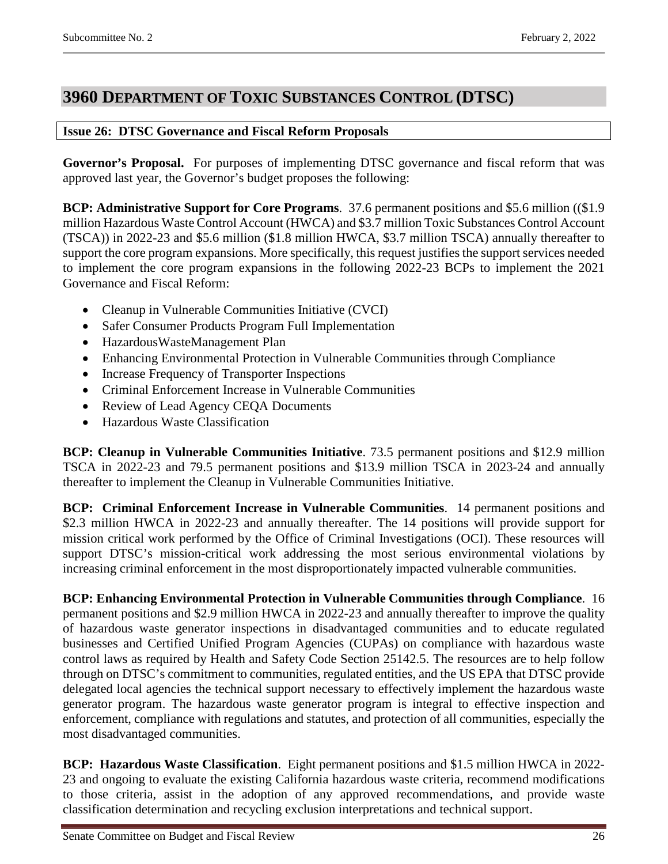## <span id="page-25-0"></span>**3960 DEPARTMENT OF TOXIC SUBSTANCES CONTROL (DTSC)**

## <span id="page-25-1"></span>**Issue 26: DTSC Governance and Fiscal Reform Proposals**

**Governor's Proposal.** For purposes of implementing DTSC governance and fiscal reform that was approved last year, the Governor's budget proposes the following:

**BCP: Administrative Support for Core Programs**. 37.6 permanent positions and \$5.6 million ((\$1.9 million Hazardous Waste Control Account (HWCA) and \$3.7 million Toxic Substances Control Account (TSCA)) in 2022-23 and \$5.6 million (\$1.8 million HWCA, \$3.7 million TSCA) annually thereafter to support the core program expansions. More specifically, this request justifies the support services needed to implement the core program expansions in the following 2022-23 BCPs to implement the 2021 Governance and Fiscal Reform:

- Cleanup in Vulnerable Communities Initiative (CVCI)
- Safer Consumer Products Program Full Implementation
- HazardousWasteManagement Plan
- Enhancing Environmental Protection in Vulnerable Communities through Compliance
- Increase Frequency of Transporter Inspections
- Criminal Enforcement Increase in Vulnerable Communities
- Review of Lead Agency CEOA Documents
- Hazardous Waste Classification

**BCP: Cleanup in Vulnerable Communities Initiative**. 73.5 permanent positions and \$12.9 million TSCA in 2022-23 and 79.5 permanent positions and \$13.9 million TSCA in 2023-24 and annually thereafter to implement the Cleanup in Vulnerable Communities Initiative.

**BCP: Criminal Enforcement Increase in Vulnerable Communities**. 14 permanent positions and \$2.3 million HWCA in 2022-23 and annually thereafter. The 14 positions will provide support for mission critical work performed by the Office of Criminal Investigations (OCI). These resources will support DTSC's mission-critical work addressing the most serious environmental violations by increasing criminal enforcement in the most disproportionately impacted vulnerable communities.

**BCP: Enhancing Environmental Protection in Vulnerable Communities through Compliance**. 16 permanent positions and \$2.9 million HWCA in 2022-23 and annually thereafter to improve the quality of hazardous waste generator inspections in disadvantaged communities and to educate regulated businesses and Certified Unified Program Agencies (CUPAs) on compliance with hazardous waste control laws as required by Health and Safety Code Section 25142.5. The resources are to help follow through on DTSC's commitment to communities, regulated entities, and the US EPA that DTSC provide delegated local agencies the technical support necessary to effectively implement the hazardous waste generator program. The hazardous waste generator program is integral to effective inspection and enforcement, compliance with regulations and statutes, and protection of all communities, especially the most disadvantaged communities.

**BCP: Hazardous Waste Classification**. Eight permanent positions and \$1.5 million HWCA in 2022- 23 and ongoing to evaluate the existing California hazardous waste criteria, recommend modifications to those criteria, assist in the adoption of any approved recommendations, and provide waste classification determination and recycling exclusion interpretations and technical support.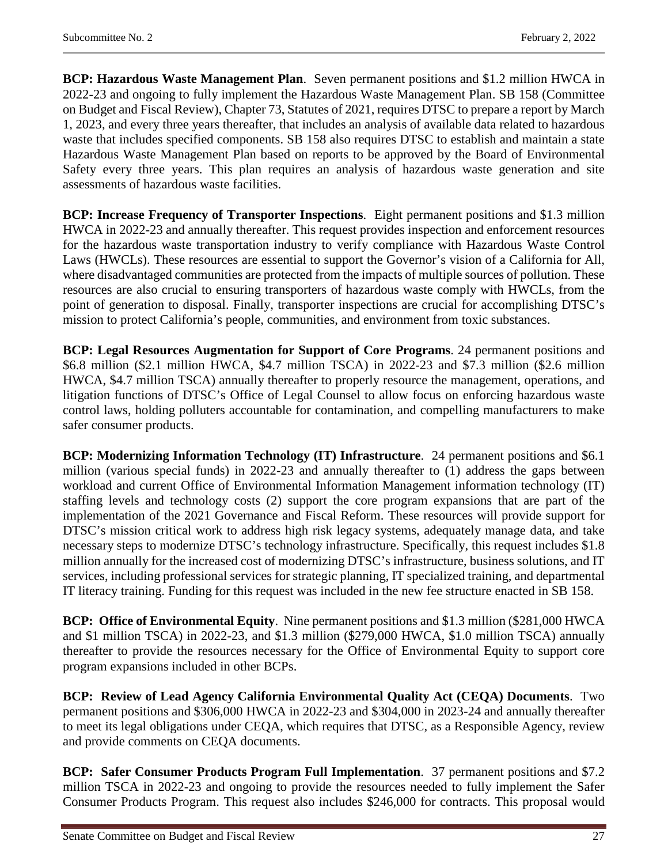**BCP: Hazardous Waste Management Plan**. Seven permanent positions and \$1.2 million HWCA in 2022-23 and ongoing to fully implement the Hazardous Waste Management Plan. SB 158 (Committee on Budget and Fiscal Review), Chapter 73, Statutes of 2021, requires DTSC to prepare a report by March 1, 2023, and every three years thereafter, that includes an analysis of available data related to hazardous waste that includes specified components. SB 158 also requires DTSC to establish and maintain a state Hazardous Waste Management Plan based on reports to be approved by the Board of Environmental Safety every three years. This plan requires an analysis of hazardous waste generation and site assessments of hazardous waste facilities.

**BCP: Increase Frequency of Transporter Inspections**. Eight permanent positions and \$1.3 million HWCA in 2022-23 and annually thereafter. This request provides inspection and enforcement resources for the hazardous waste transportation industry to verify compliance with Hazardous Waste Control Laws (HWCLs). These resources are essential to support the Governor's vision of a California for All, where disadvantaged communities are protected from the impacts of multiple sources of pollution. These resources are also crucial to ensuring transporters of hazardous waste comply with HWCLs, from the point of generation to disposal. Finally, transporter inspections are crucial for accomplishing DTSC's mission to protect California's people, communities, and environment from toxic substances.

**BCP: Legal Resources Augmentation for Support of Core Programs**. 24 permanent positions and \$6.8 million (\$2.1 million HWCA, \$4.7 million TSCA) in 2022-23 and \$7.3 million (\$2.6 million HWCA, \$4.7 million TSCA) annually thereafter to properly resource the management, operations, and litigation functions of DTSC's Office of Legal Counsel to allow focus on enforcing hazardous waste control laws, holding polluters accountable for contamination, and compelling manufacturers to make safer consumer products.

**BCP: Modernizing Information Technology (IT) Infrastructure**. 24 permanent positions and \$6.1 million (various special funds) in 2022-23 and annually thereafter to (1) address the gaps between workload and current Office of Environmental Information Management information technology (IT) staffing levels and technology costs (2) support the core program expansions that are part of the implementation of the 2021 Governance and Fiscal Reform. These resources will provide support for DTSC's mission critical work to address high risk legacy systems, adequately manage data, and take necessary steps to modernize DTSC's technology infrastructure. Specifically, this request includes \$1.8 million annually for the increased cost of modernizing DTSC's infrastructure, business solutions, and IT services, including professional services for strategic planning, IT specialized training, and departmental IT literacy training. Funding for this request was included in the new fee structure enacted in SB 158.

**BCP: Office of Environmental Equity**. Nine permanent positions and \$1.3 million (\$281,000 HWCA and \$1 million TSCA) in 2022-23, and \$1.3 million (\$279,000 HWCA, \$1.0 million TSCA) annually thereafter to provide the resources necessary for the Office of Environmental Equity to support core program expansions included in other BCPs.

**BCP: Review of Lead Agency California Environmental Quality Act (CEQA) Documents**. Two permanent positions and \$306,000 HWCA in 2022-23 and \$304,000 in 2023-24 and annually thereafter to meet its legal obligations under CEQA, which requires that DTSC, as a Responsible Agency, review and provide comments on CEQA documents.

**BCP: Safer Consumer Products Program Full Implementation**. 37 permanent positions and \$7.2 million TSCA in 2022-23 and ongoing to provide the resources needed to fully implement the Safer Consumer Products Program. This request also includes \$246,000 for contracts. This proposal would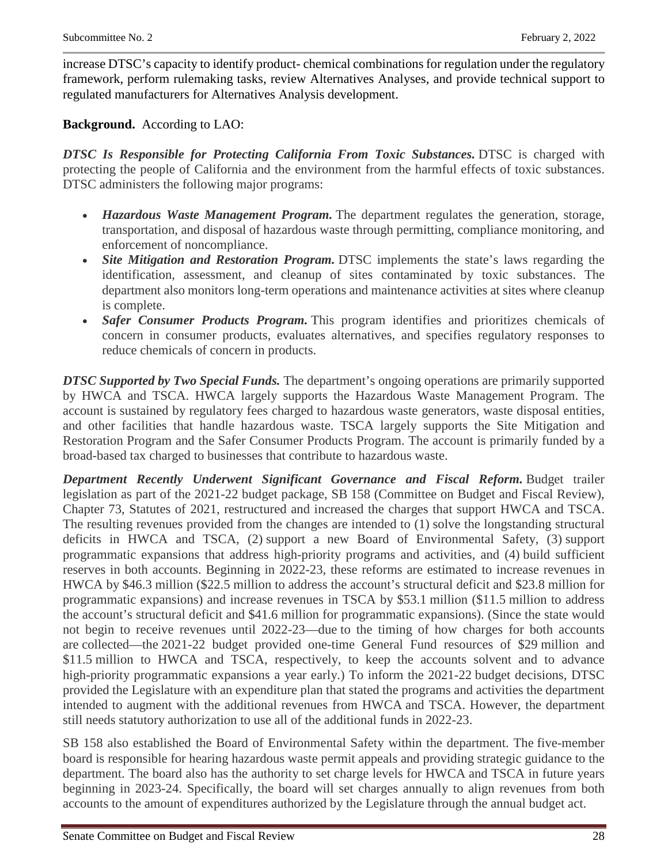increase DTSC's capacity to identify product- chemical combinations for regulation under the regulatory framework, perform rulemaking tasks, review Alternatives Analyses, and provide technical support to regulated manufacturers for Alternatives Analysis development.

**Background.** According to LAO:

*DTSC Is Responsible for Protecting California From Toxic Substances.* DTSC is charged with protecting the people of California and the environment from the harmful effects of toxic substances. DTSC administers the following major programs:

- *Hazardous Waste Management Program.* The department regulates the generation, storage, transportation, and disposal of hazardous waste through permitting, compliance monitoring, and enforcement of noncompliance.
- *Site Mitigation and Restoration Program.* DTSC implements the state's laws regarding the identification, assessment, and cleanup of sites contaminated by toxic substances. The department also monitors long-term operations and maintenance activities at sites where cleanup is complete.
- *Safer Consumer Products Program.* This program identifies and prioritizes chemicals of concern in consumer products, evaluates alternatives, and specifies regulatory responses to reduce chemicals of concern in products.

*DTSC Supported by Two Special Funds.* The department's ongoing operations are primarily supported by HWCA and TSCA. HWCA largely supports the Hazardous Waste Management Program. The account is sustained by regulatory fees charged to hazardous waste generators, waste disposal entities, and other facilities that handle hazardous waste. TSCA largely supports the Site Mitigation and Restoration Program and the Safer Consumer Products Program. The account is primarily funded by a broad-based tax charged to businesses that contribute to hazardous waste.

*Department Recently Underwent Significant Governance and Fiscal Reform.* Budget trailer legislation as part of the 2021-22 budget package, SB 158 (Committee on Budget and Fiscal Review), Chapter 73, Statutes of 2021, restructured and increased the charges that support HWCA and TSCA. The resulting revenues provided from the changes are intended to (1) solve the longstanding structural deficits in HWCA and TSCA, (2) support a new Board of Environmental Safety, (3) support programmatic expansions that address high-priority programs and activities, and (4) build sufficient reserves in both accounts. Beginning in 2022-23, these reforms are estimated to increase revenues in HWCA by \$46.3 million (\$22.5 million to address the account's structural deficit and \$23.8 million for programmatic expansions) and increase revenues in TSCA by \$53.1 million (\$11.5 million to address the account's structural deficit and \$41.6 million for programmatic expansions). (Since the state would not begin to receive revenues until 2022-23—due to the timing of how charges for both accounts are collected—the 2021-22 budget provided one-time General Fund resources of \$29 million and \$11.5 million to HWCA and TSCA, respectively, to keep the accounts solvent and to advance high-priority programmatic expansions a year early.) To inform the 2021-22 budget decisions, DTSC provided the Legislature with an expenditure plan that stated the programs and activities the department intended to augment with the additional revenues from HWCA and TSCA. However, the department still needs statutory authorization to use all of the additional funds in 2022-23.

SB 158 also established the Board of Environmental Safety within the department. The five-member board is responsible for hearing hazardous waste permit appeals and providing strategic guidance to the department. The board also has the authority to set charge levels for HWCA and TSCA in future years beginning in 2023-24. Specifically, the board will set charges annually to align revenues from both accounts to the amount of expenditures authorized by the Legislature through the annual budget act.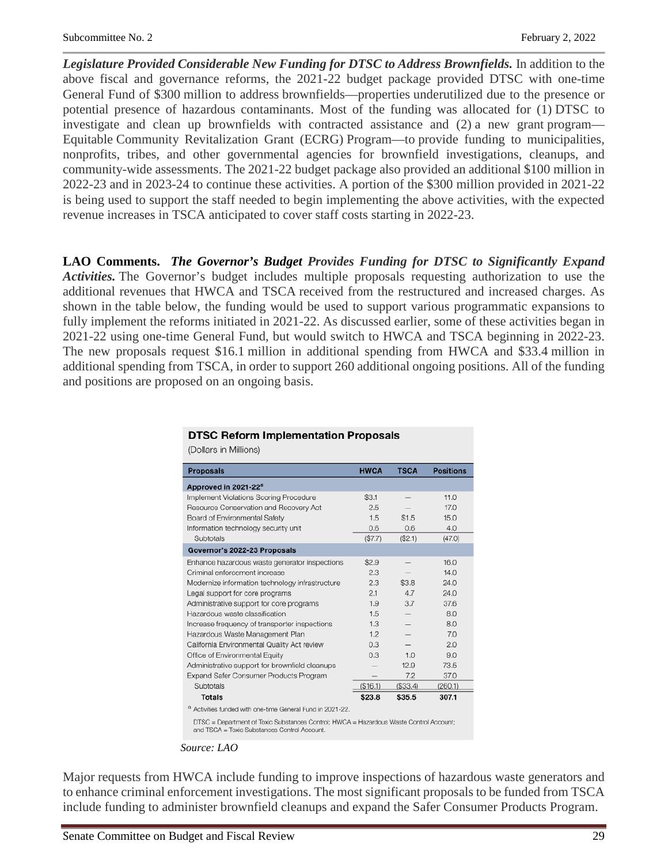*Legislature Provided Considerable New Funding for DTSC to Address Brownfields.* In addition to the above fiscal and governance reforms, the 2021-22 budget package provided DTSC with one-time General Fund of \$300 million to address brownfields—properties underutilized due to the presence or potential presence of hazardous contaminants. Most of the funding was allocated for (1) DTSC to investigate and clean up brownfields with contracted assistance and (2) a new grant program— Equitable Community Revitalization Grant (ECRG) Program—to provide funding to municipalities, nonprofits, tribes, and other governmental agencies for brownfield investigations, cleanups, and community-wide assessments. The 2021-22 budget package also provided an additional \$100 million in 2022-23 and in 2023-24 to continue these activities. A portion of the \$300 million provided in 2021-22 is being used to support the staff needed to begin implementing the above activities, with the expected revenue increases in TSCA anticipated to cover staff costs starting in 2022-23.

**LAO Comments.** *The Governor's Budget Provides Funding for DTSC to Significantly Expand Activities.* The Governor's budget includes multiple proposals requesting authorization to use the additional revenues that HWCA and TSCA received from the restructured and increased charges. As shown in the table below, the funding would be used to support various programmatic expansions to fully implement the reforms initiated in 2021-22. As discussed earlier, some of these activities began in 2021-22 using one-time General Fund, but would switch to HWCA and TSCA beginning in 2022-23. The new proposals request \$16.1 million in additional spending from HWCA and \$33.4 million in additional spending from TSCA, in order to support 260 additional ongoing positions. All of the funding and positions are proposed on an ongoing basis.

(Dollars in Millions)

| <b>Proposals</b>                                                                                                                       | <b>HWCA</b> | <b>TSCA</b> | <b>Positions</b> |
|----------------------------------------------------------------------------------------------------------------------------------------|-------------|-------------|------------------|
| Approved in 2021-22 <sup>a</sup>                                                                                                       |             |             |                  |
| Implement Violations Scoring Procedure                                                                                                 | \$3.1       |             | 11.0             |
| Resource Conservation and Recovery Act                                                                                                 | 2.5         |             | 17.0             |
| Board of Environmental Safety                                                                                                          | 1.5         | \$1.5       | 15.0             |
| Information technology security unit                                                                                                   | 0.6         | 0.6         | 4.0              |
| Subtotals                                                                                                                              | (\$7.7)     | (\$2.1)     | (47.0)           |
| Governor's 2022-23 Proposals                                                                                                           |             |             |                  |
| Enhance hazardous waste generator inspections                                                                                          | \$2.9       |             | 16.0             |
| Criminal enforcement increase                                                                                                          | 2.3         |             | 14.0             |
| Modernize information technology infrastructure                                                                                        | 2.3         | \$3.8       | 24.0             |
| Legal support for core programs                                                                                                        | 2.1         | 4.7         | 24.0             |
| Administrative support for core programs                                                                                               | 1.9         | 3.7         | 37.6             |
| Hazardous waste classification                                                                                                         | 1.5         |             | 8.0              |
| Increase frequency of transporter inspections                                                                                          | 1.3         |             | 8.0              |
| Hazardous Waste Management Plan                                                                                                        | 1.2         |             | 7.0              |
| California Environmental Quality Act review                                                                                            | 0.3         |             | 2.0              |
| Office of Environmental Equity                                                                                                         | 0.3         | 1.0         | 9.0              |
| Administrative support for brownfield cleanups                                                                                         |             | 12.9        | 73.5             |
| <b>Expand Safer Consumer Products Program</b>                                                                                          |             | 7.2         | 37.0             |
| Subtotals                                                                                                                              | (\$16.1)    | (\$33.4)    | (260.1)          |
| <b>Totals</b>                                                                                                                          | \$23.8      | \$35.5      | 307.1            |
| Activities funded with one-time General Fund in 2021-22.<br>a                                                                          |             |             |                  |
| DTSC = Department of Toxic Substances Control: HWCA = Hazardous Waste Control Account:<br>and TSCA = Toxic Substances Control Account. |             |             |                  |

*Source: LAO*

Major requests from HWCA include funding to improve inspections of hazardous waste generators and to enhance criminal enforcement investigations. The most significant proposals to be funded from TSCA include funding to administer brownfield cleanups and expand the Safer Consumer Products Program.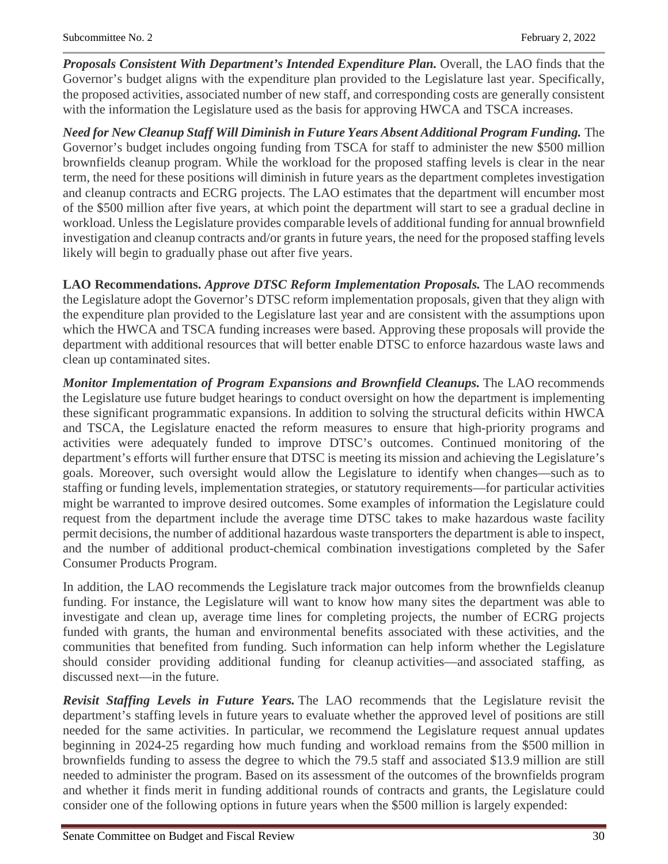*Proposals Consistent With Department's Intended Expenditure Plan.* Overall, the LAO finds that the Governor's budget aligns with the expenditure plan provided to the Legislature last year. Specifically, the proposed activities, associated number of new staff, and corresponding costs are generally consistent with the information the Legislature used as the basis for approving HWCA and TSCA increases.

*Need for New Cleanup Staff Will Diminish in Future Years Absent Additional Program Funding.* The Governor's budget includes ongoing funding from TSCA for staff to administer the new \$500 million brownfields cleanup program. While the workload for the proposed staffing levels is clear in the near term, the need for these positions will diminish in future years as the department completes investigation and cleanup contracts and ECRG projects. The LAO estimates that the department will encumber most of the \$500 million after five years, at which point the department will start to see a gradual decline in workload. Unless the Legislature provides comparable levels of additional funding for annual brownfield investigation and cleanup contracts and/or grants in future years, the need for the proposed staffing levels likely will begin to gradually phase out after five years.

**LAO Recommendations.** *Approve DTSC Reform Implementation Proposals.* The LAO recommends the Legislature adopt the Governor's DTSC reform implementation proposals, given that they align with the expenditure plan provided to the Legislature last year and are consistent with the assumptions upon which the HWCA and TSCA funding increases were based. Approving these proposals will provide the department with additional resources that will better enable DTSC to enforce hazardous waste laws and clean up contaminated sites.

*Monitor Implementation of Program Expansions and Brownfield Cleanups.* The LAO recommends the Legislature use future budget hearings to conduct oversight on how the department is implementing these significant programmatic expansions. In addition to solving the structural deficits within HWCA and TSCA, the Legislature enacted the reform measures to ensure that high-priority programs and activities were adequately funded to improve DTSC's outcomes. Continued monitoring of the department's efforts will further ensure that DTSC is meeting its mission and achieving the Legislature's goals. Moreover, such oversight would allow the Legislature to identify when changes—such as to staffing or funding levels, implementation strategies, or statutory requirements—for particular activities might be warranted to improve desired outcomes. Some examples of information the Legislature could request from the department include the average time DTSC takes to make hazardous waste facility permit decisions, the number of additional hazardous waste transporters the department is able to inspect, and the number of additional product-chemical combination investigations completed by the Safer Consumer Products Program.

In addition, the LAO recommends the Legislature track major outcomes from the brownfields cleanup funding. For instance, the Legislature will want to know how many sites the department was able to investigate and clean up, average time lines for completing projects, the number of ECRG projects funded with grants, the human and environmental benefits associated with these activities, and the communities that benefited from funding. Such information can help inform whether the Legislature should consider providing additional funding for cleanup activities—and associated staffing, as discussed next—in the future.

*Revisit Staffing Levels in Future Years.* The LAO recommends that the Legislature revisit the department's staffing levels in future years to evaluate whether the approved level of positions are still needed for the same activities. In particular, we recommend the Legislature request annual updates beginning in 2024-25 regarding how much funding and workload remains from the \$500 million in brownfields funding to assess the degree to which the 79.5 staff and associated \$13.9 million are still needed to administer the program. Based on its assessment of the outcomes of the brownfields program and whether it finds merit in funding additional rounds of contracts and grants, the Legislature could consider one of the following options in future years when the \$500 million is largely expended: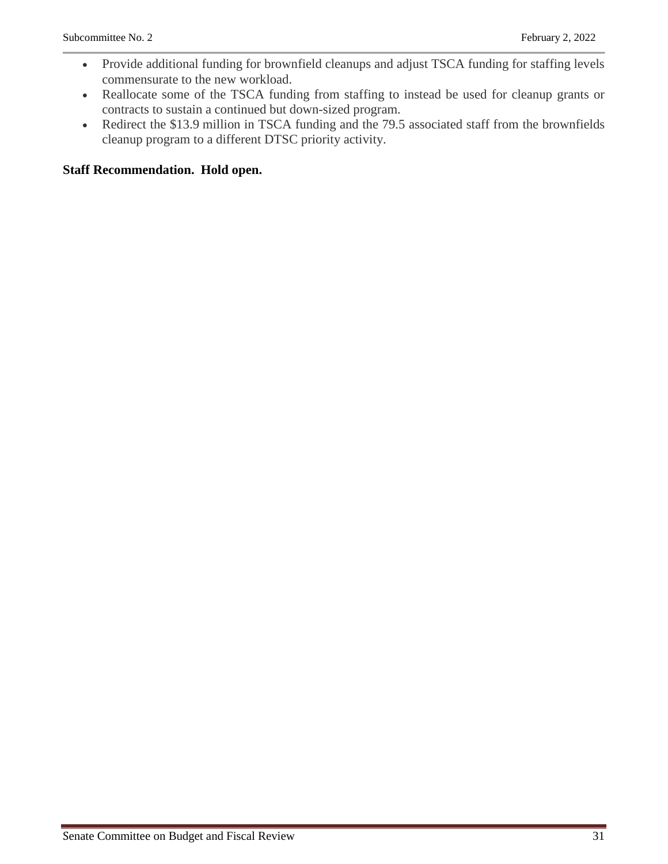- Provide additional funding for brownfield cleanups and adjust TSCA funding for staffing levels commensurate to the new workload.
- Reallocate some of the TSCA funding from staffing to instead be used for cleanup grants or contracts to sustain a continued but down-sized program.
- Redirect the \$13.9 million in TSCA funding and the 79.5 associated staff from the brownfields cleanup program to a different DTSC priority activity.

## **Staff Recommendation. Hold open.**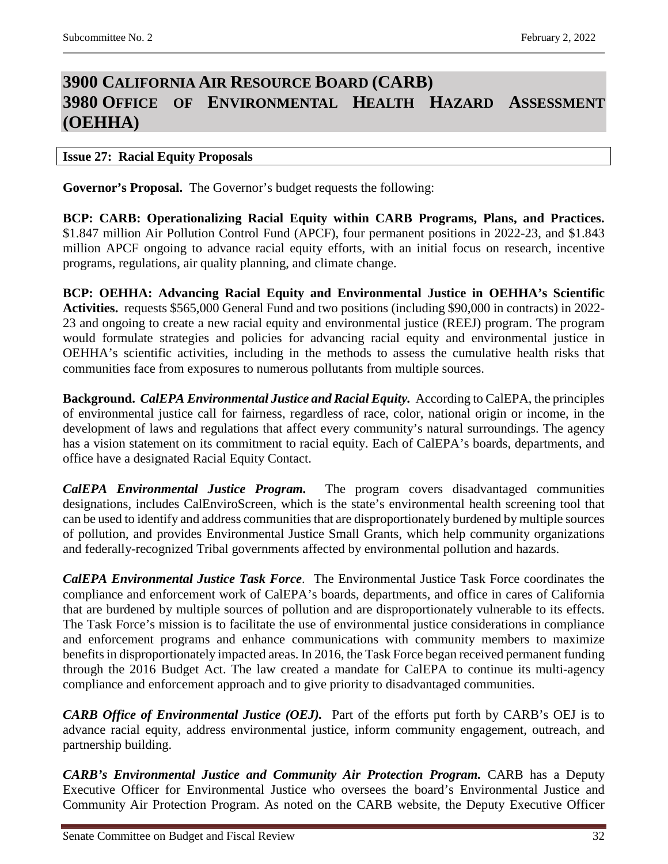## <span id="page-31-1"></span><span id="page-31-0"></span>**3900 CALIFORNIA AIR RESOURCE BOARD (CARB) 3980 OFFICE OF ENVIRONMENTAL HEALTH HAZARD ASSESSMENT (OEHHA)**

### <span id="page-31-2"></span>**Issue 27: Racial Equity Proposals**

**Governor's Proposal.** The Governor's budget requests the following:

**BCP: CARB: Operationalizing Racial Equity within CARB Programs, Plans, and Practices.** \$1.847 million Air Pollution Control Fund (APCF), four permanent positions in 2022-23, and \$1.843 million APCF ongoing to advance racial equity efforts, with an initial focus on research, incentive programs, regulations, air quality planning, and climate change.

**BCP: OEHHA: Advancing Racial Equity and Environmental Justice in OEHHA's Scientific Activities.** requests \$565,000 General Fund and two positions (including \$90,000 in contracts) in 2022- 23 and ongoing to create a new racial equity and environmental justice (REEJ) program. The program would formulate strategies and policies for advancing racial equity and environmental justice in OEHHA's scientific activities, including in the methods to assess the cumulative health risks that communities face from exposures to numerous pollutants from multiple sources.

**Background.** *CalEPA Environmental Justice and Racial Equity.* According to CalEPA, the principles of environmental justice call for fairness, regardless of race, color, national origin or income, in the development of laws and regulations that affect every community's natural surroundings. The agency has a vision statement on its commitment to racial equity. Each of CalEPA's boards, departments, and office have a designated Racial Equity Contact.

*CalEPA Environmental Justice Program.* The program covers disadvantaged communities designations, includes CalEnviroScreen, which is the state's environmental health screening tool that can be used to identify and address communities that are disproportionately burdened by multiple sources of pollution, and provides Environmental Justice Small Grants, which help community organizations and federally-recognized Tribal governments affected by environmental pollution and hazards.

*CalEPA Environmental Justice Task Force*. The Environmental Justice Task Force coordinates the compliance and enforcement work of CalEPA's boards, departments, and office in cares of California that are burdened by multiple sources of pollution and are disproportionately vulnerable to its effects. The Task Force's mission is to facilitate the use of environmental justice considerations in compliance and enforcement programs and enhance communications with community members to maximize benefits in disproportionately impacted areas. In 2016, the Task Force began received permanent funding through the 2016 Budget Act. The law created a mandate for CalEPA to continue its multi-agency compliance and enforcement approach and to give priority to disadvantaged communities.

*CARB Office of Environmental Justice (OEJ).* Part of the efforts put forth by CARB's OEJ is to advance racial equity, address environmental justice, inform community engagement, outreach, and partnership building.

*CARB's Environmental Justice and Community Air Protection Program.* CARB has a Deputy Executive Officer for Environmental Justice who oversees the board's Environmental Justice and Community Air Protection Program. As noted on the CARB website, the Deputy Executive Officer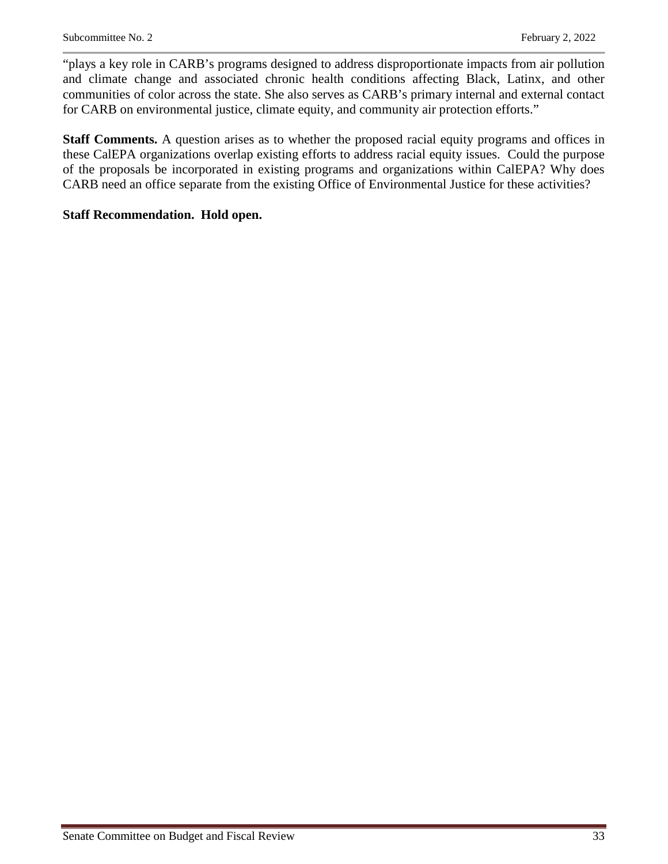"plays a key role in CARB's programs designed to address disproportionate impacts from air pollution and climate change and associated chronic health conditions affecting Black, Latinx, and other communities of color across the state. She also serves as CARB's primary internal and external contact for CARB on environmental justice, climate equity, and community air protection efforts."

**Staff Comments.** A question arises as to whether the proposed racial equity programs and offices in these CalEPA organizations overlap existing efforts to address racial equity issues. Could the purpose of the proposals be incorporated in existing programs and organizations within CalEPA? Why does CARB need an office separate from the existing Office of Environmental Justice for these activities?

### **Staff Recommendation. Hold open.**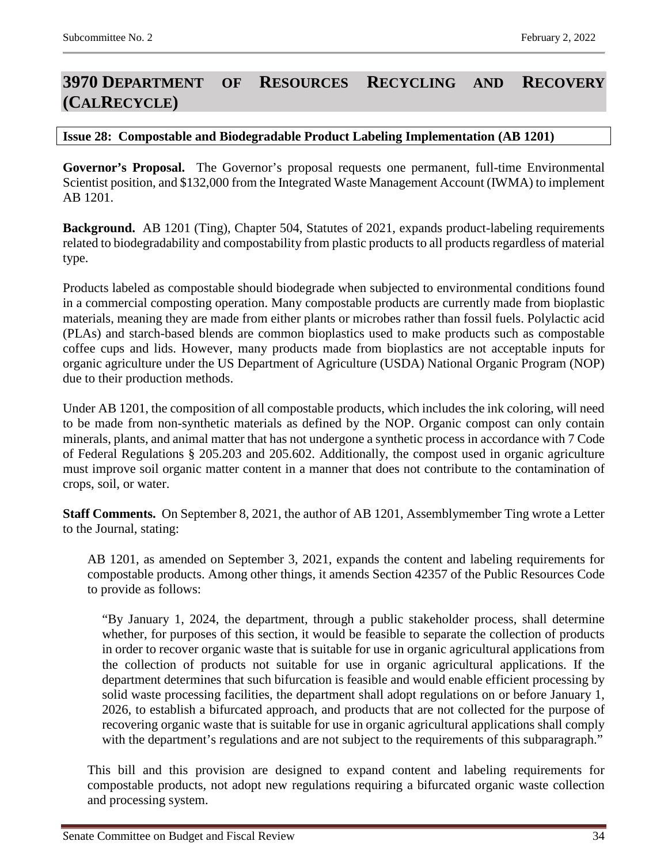## <span id="page-33-0"></span>**3970 DEPARTMENT OF RESOURCES RECYCLING AND RECOVERY (CALRECYCLE)**

#### <span id="page-33-1"></span>**Issue 28: Compostable and Biodegradable Product Labeling Implementation (AB 1201)**

**Governor's Proposal.** The Governor's proposal requests one permanent, full-time Environmental Scientist position, and \$132,000 from the Integrated Waste Management Account (IWMA) to implement AB 1201.

**Background.** AB 1201 (Ting), Chapter 504, Statutes of 2021, expands product-labeling requirements related to biodegradability and compostability from plastic products to all products regardless of material type.

Products labeled as compostable should biodegrade when subjected to environmental conditions found in a commercial composting operation. Many compostable products are currently made from bioplastic materials, meaning they are made from either plants or microbes rather than fossil fuels. Polylactic acid (PLAs) and starch-based blends are common bioplastics used to make products such as compostable coffee cups and lids. However, many products made from bioplastics are not acceptable inputs for organic agriculture under the US Department of Agriculture (USDA) National Organic Program (NOP) due to their production methods.

Under AB 1201, the composition of all compostable products, which includes the ink coloring, will need to be made from non-synthetic materials as defined by the NOP. Organic compost can only contain minerals, plants, and animal matter that has not undergone a synthetic process in accordance with 7 Code of Federal Regulations § 205.203 and 205.602. Additionally, the compost used in organic agriculture must improve soil organic matter content in a manner that does not contribute to the contamination of crops, soil, or water.

**Staff Comments.** On September 8, 2021, the author of AB 1201, Assemblymember Ting wrote a Letter to the Journal, stating:

AB 1201, as amended on September 3, 2021, expands the content and labeling requirements for compostable products. Among other things, it amends Section 42357 of the Public Resources Code to provide as follows:

"By January 1, 2024, the department, through a public stakeholder process, shall determine whether, for purposes of this section, it would be feasible to separate the collection of products in order to recover organic waste that is suitable for use in organic agricultural applications from the collection of products not suitable for use in organic agricultural applications. If the department determines that such bifurcation is feasible and would enable efficient processing by solid waste processing facilities, the department shall adopt regulations on or before January 1, 2026, to establish a bifurcated approach, and products that are not collected for the purpose of recovering organic waste that is suitable for use in organic agricultural applications shall comply with the department's regulations and are not subject to the requirements of this subparagraph."

This bill and this provision are designed to expand content and labeling requirements for compostable products, not adopt new regulations requiring a bifurcated organic waste collection and processing system.